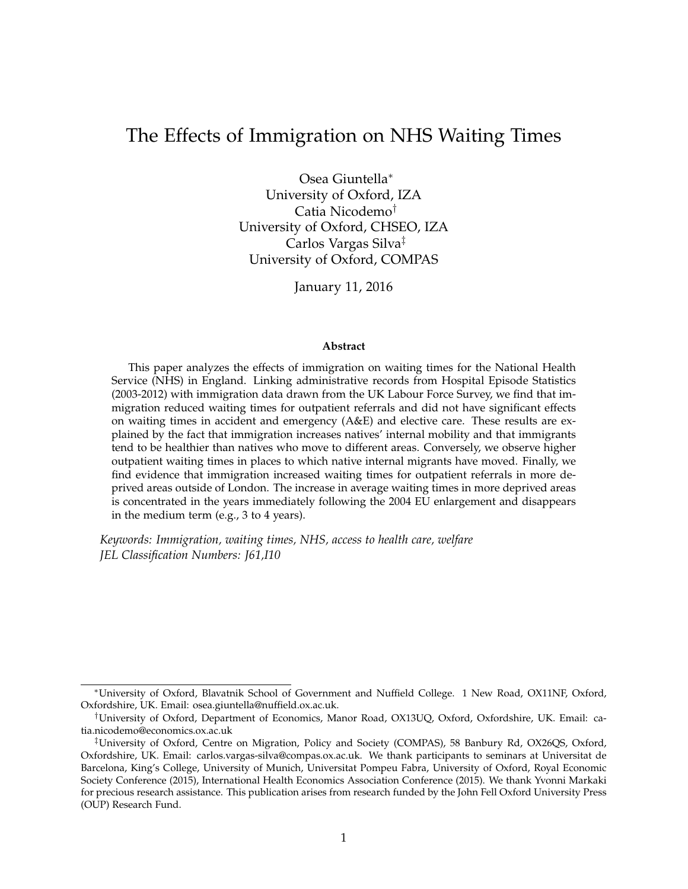# The Effects of Immigration on NHS Waiting Times

Osea Giuntella<sup>∗</sup> University of Oxford, IZA Catia Nicodemo† University of Oxford, CHSEO, IZA Carlos Vargas Silva‡ University of Oxford, COMPAS

January 11, 2016

#### **Abstract**

This paper analyzes the effects of immigration on waiting times for the National Health Service (NHS) in England. Linking administrative records from Hospital Episode Statistics (2003-2012) with immigration data drawn from the UK Labour Force Survey, we find that immigration reduced waiting times for outpatient referrals and did not have significant effects on waiting times in accident and emergency (A&E) and elective care. These results are explained by the fact that immigration increases natives' internal mobility and that immigrants tend to be healthier than natives who move to different areas. Conversely, we observe higher outpatient waiting times in places to which native internal migrants have moved. Finally, we find evidence that immigration increased waiting times for outpatient referrals in more deprived areas outside of London. The increase in average waiting times in more deprived areas is concentrated in the years immediately following the 2004 EU enlargement and disappears in the medium term (e.g., 3 to 4 years).

*Keywords: Immigration, waiting times, NHS, access to health care, welfare JEL Classification Numbers: J61,I10*

<sup>∗</sup>University of Oxford, Blavatnik School of Government and Nuffield College. 1 New Road, OX11NF, Oxford, Oxfordshire, UK. Email: osea.giuntella@nuffield.ox.ac.uk.

<sup>†</sup>University of Oxford, Department of Economics, Manor Road, OX13UQ, Oxford, Oxfordshire, UK. Email: catia.nicodemo@economics.ox.ac.uk

<sup>‡</sup>University of Oxford, Centre on Migration, Policy and Society (COMPAS), 58 Banbury Rd, OX26QS, Oxford, Oxfordshire, UK. Email: carlos.vargas-silva@compas.ox.ac.uk. We thank participants to seminars at Universitat de Barcelona, King's College, University of Munich, Universitat Pompeu Fabra, University of Oxford, Royal Economic Society Conference (2015), International Health Economics Association Conference (2015). We thank Yvonni Markaki for precious research assistance. This publication arises from research funded by the John Fell Oxford University Press (OUP) Research Fund.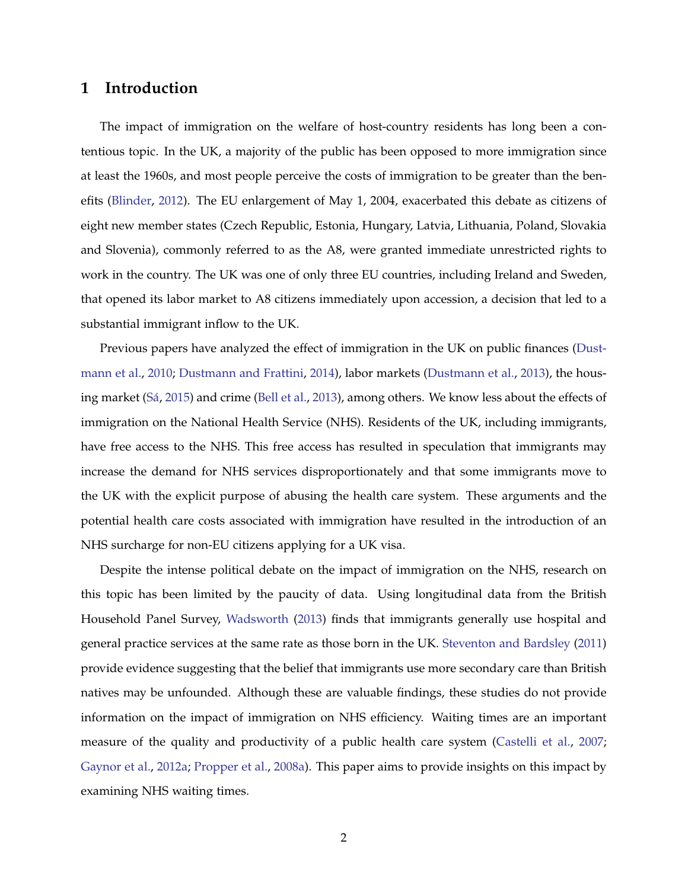## **1 Introduction**

The impact of immigration on the welfare of host-country residents has long been a contentious topic. In the UK, a majority of the public has been opposed to more immigration since at least the 1960s, and most people perceive the costs of immigration to be greater than the benefits [\(Blinder,](#page-23-0) [2012\)](#page-23-0). The EU enlargement of May 1, 2004, exacerbated this debate as citizens of eight new member states (Czech Republic, Estonia, Hungary, Latvia, Lithuania, Poland, Slovakia and Slovenia), commonly referred to as the A8, were granted immediate unrestricted rights to work in the country. The UK was one of only three EU countries, including Ireland and Sweden, that opened its labor market to A8 citizens immediately upon accession, a decision that led to a substantial immigrant inflow to the UK.

Previous papers have analyzed the effect of immigration in the UK on public finances [\(Dust](#page-24-0)[mann et al.,](#page-24-0) [2010;](#page-24-0) [Dustmann and Frattini,](#page-24-1) [2014\)](#page-24-1), labor markets [\(Dustmann et al.,](#page-24-2) [2013\)](#page-24-2), the hous-ing market (Sá, [2015\)](#page-26-0) and crime [\(Bell et al.,](#page-23-1) [2013\)](#page-23-1), among others. We know less about the effects of immigration on the National Health Service (NHS). Residents of the UK, including immigrants, have free access to the NHS. This free access has resulted in speculation that immigrants may increase the demand for NHS services disproportionately and that some immigrants move to the UK with the explicit purpose of abusing the health care system. These arguments and the potential health care costs associated with immigration have resulted in the introduction of an NHS surcharge for non-EU citizens applying for a UK visa.

Despite the intense political debate on the impact of immigration on the NHS, research on this topic has been limited by the paucity of data. Using longitudinal data from the British Household Panel Survey, [Wadsworth](#page-26-1) [\(2013\)](#page-26-1) finds that immigrants generally use hospital and general practice services at the same rate as those born in the UK. [Steventon and Bardsley](#page-26-2) [\(2011\)](#page-26-2) provide evidence suggesting that the belief that immigrants use more secondary care than British natives may be unfounded. Although these are valuable findings, these studies do not provide information on the impact of immigration on NHS efficiency. Waiting times are an important measure of the quality and productivity of a public health care system [\(Castelli et al.,](#page-24-3) [2007;](#page-24-3) [Gaynor et al.,](#page-24-4) [2012a;](#page-24-4) [Propper et al.,](#page-25-0) [2008a\)](#page-25-0). This paper aims to provide insights on this impact by examining NHS waiting times.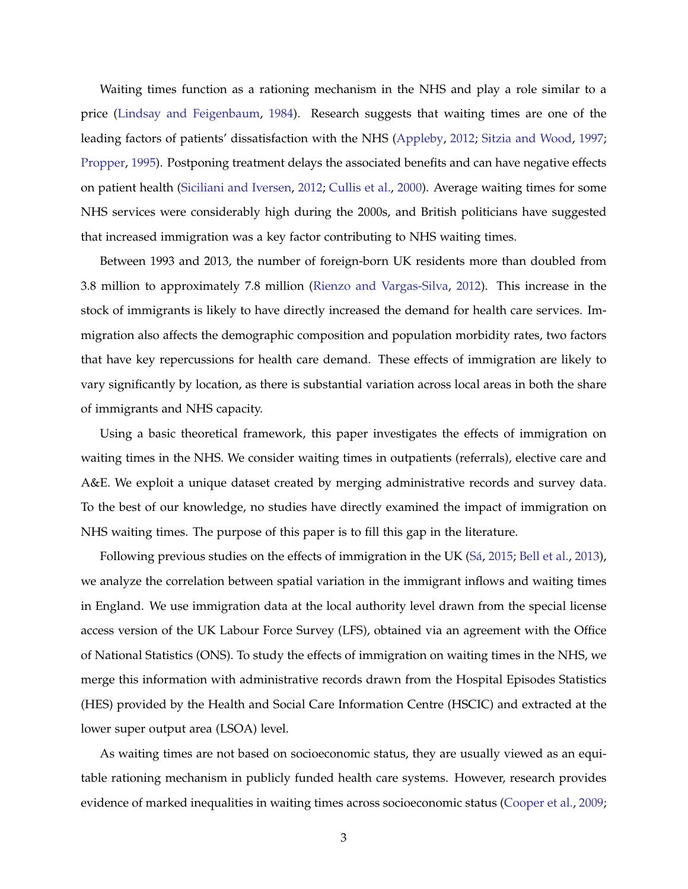Waiting times function as a rationing mechanism in the NHS and play a role similar to a price [\(Lindsay and Feigenbaum,](#page-25-1) [1984\)](#page-25-1). Research suggests that waiting times are one of the leading factors of patients' dissatisfaction with the NHS [\(Appleby,](#page-23-2) [2012;](#page-23-2) [Sitzia and Wood,](#page-26-3) [1997;](#page-26-3) [Propper,](#page-25-2) [1995\)](#page-25-2). Postponing treatment delays the associated benefits and can have negative effects on patient health [\(Siciliani and Iversen,](#page-26-4) [2012;](#page-26-4) [Cullis et al.,](#page-24-5) [2000\)](#page-24-5). Average waiting times for some NHS services were considerably high during the 2000s, and British politicians have suggested that increased immigration was a key factor contributing to NHS waiting times.

Between 1993 and 2013, the number of foreign-born UK residents more than doubled from 3.8 million to approximately 7.8 million [\(Rienzo and Vargas-Silva,](#page-26-5) [2012\)](#page-26-5). This increase in the stock of immigrants is likely to have directly increased the demand for health care services. Immigration also affects the demographic composition and population morbidity rates, two factors that have key repercussions for health care demand. These effects of immigration are likely to vary significantly by location, as there is substantial variation across local areas in both the share of immigrants and NHS capacity.

Using a basic theoretical framework, this paper investigates the effects of immigration on waiting times in the NHS. We consider waiting times in outpatients (referrals), elective care and A&E. We exploit a unique dataset created by merging administrative records and survey data. To the best of our knowledge, no studies have directly examined the impact of immigration on NHS waiting times. The purpose of this paper is to fill this gap in the literature.

Following previous studies on the effects of immigration in the UK (Sá, [2015;](#page-26-0) [Bell et al.,](#page-23-1) [2013\)](#page-23-1), we analyze the correlation between spatial variation in the immigrant inflows and waiting times in England. We use immigration data at the local authority level drawn from the special license access version of the UK Labour Force Survey (LFS), obtained via an agreement with the Office of National Statistics (ONS). To study the effects of immigration on waiting times in the NHS, we merge this information with administrative records drawn from the Hospital Episodes Statistics (HES) provided by the Health and Social Care Information Centre (HSCIC) and extracted at the lower super output area (LSOA) level.

As waiting times are not based on socioeconomic status, they are usually viewed as an equitable rationing mechanism in publicly funded health care systems. However, research provides evidence of marked inequalities in waiting times across socioeconomic status [\(Cooper et al.,](#page-24-6) [2009;](#page-24-6)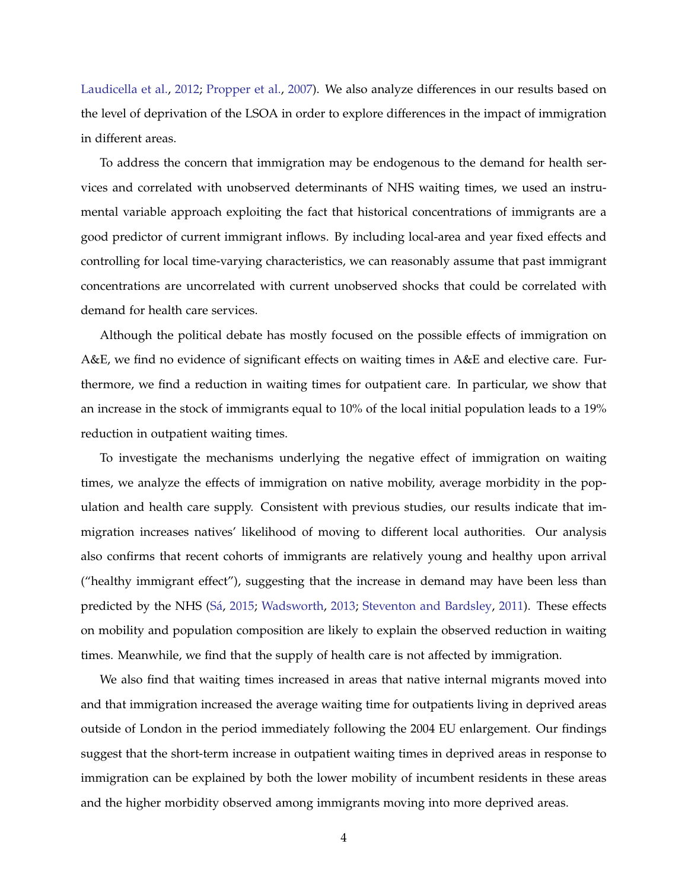[Laudicella et al.,](#page-25-3) [2012;](#page-25-3) [Propper et al.,](#page-26-6) [2007\)](#page-26-6). We also analyze differences in our results based on the level of deprivation of the LSOA in order to explore differences in the impact of immigration in different areas.

To address the concern that immigration may be endogenous to the demand for health services and correlated with unobserved determinants of NHS waiting times, we used an instrumental variable approach exploiting the fact that historical concentrations of immigrants are a good predictor of current immigrant inflows. By including local-area and year fixed effects and controlling for local time-varying characteristics, we can reasonably assume that past immigrant concentrations are uncorrelated with current unobserved shocks that could be correlated with demand for health care services.

Although the political debate has mostly focused on the possible effects of immigration on A&E, we find no evidence of significant effects on waiting times in A&E and elective care. Furthermore, we find a reduction in waiting times for outpatient care. In particular, we show that an increase in the stock of immigrants equal to 10% of the local initial population leads to a 19% reduction in outpatient waiting times.

To investigate the mechanisms underlying the negative effect of immigration on waiting times, we analyze the effects of immigration on native mobility, average morbidity in the population and health care supply. Consistent with previous studies, our results indicate that immigration increases natives' likelihood of moving to different local authorities. Our analysis also confirms that recent cohorts of immigrants are relatively young and healthy upon arrival ("healthy immigrant effect"), suggesting that the increase in demand may have been less than predicted by the NHS [\(Sa´,](#page-26-0) [2015;](#page-26-0) [Wadsworth,](#page-26-1) [2013;](#page-26-1) [Steventon and Bardsley,](#page-26-2) [2011\)](#page-26-2). These effects on mobility and population composition are likely to explain the observed reduction in waiting times. Meanwhile, we find that the supply of health care is not affected by immigration.

We also find that waiting times increased in areas that native internal migrants moved into and that immigration increased the average waiting time for outpatients living in deprived areas outside of London in the period immediately following the 2004 EU enlargement. Our findings suggest that the short-term increase in outpatient waiting times in deprived areas in response to immigration can be explained by both the lower mobility of incumbent residents in these areas and the higher morbidity observed among immigrants moving into more deprived areas.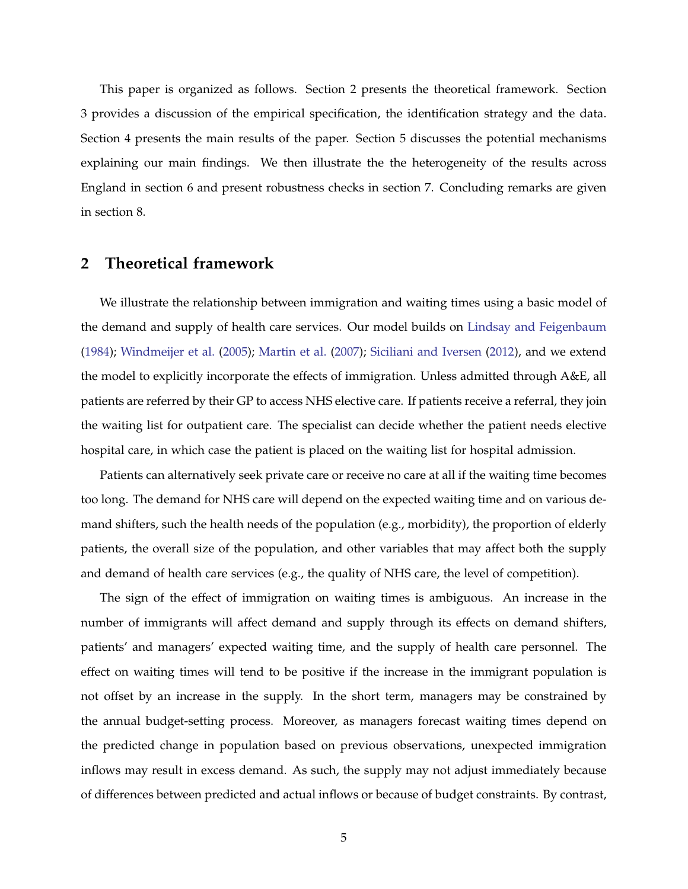This paper is organized as follows. Section 2 presents the theoretical framework. Section 3 provides a discussion of the empirical specification, the identification strategy and the data. Section 4 presents the main results of the paper. Section 5 discusses the potential mechanisms explaining our main findings. We then illustrate the the heterogeneity of the results across England in section 6 and present robustness checks in section 7. Concluding remarks are given in section 8.

### **2 Theoretical framework**

We illustrate the relationship between immigration and waiting times using a basic model of the demand and supply of health care services. Our model builds on [Lindsay and Feigenbaum](#page-25-1) [\(1984\)](#page-25-1); [Windmeijer et al.](#page-26-7) [\(2005\)](#page-26-7); [Martin et al.](#page-25-4) [\(2007\)](#page-25-4); [Siciliani and Iversen](#page-26-4) [\(2012\)](#page-26-4), and we extend the model to explicitly incorporate the effects of immigration. Unless admitted through A&E, all patients are referred by their GP to access NHS elective care. If patients receive a referral, they join the waiting list for outpatient care. The specialist can decide whether the patient needs elective hospital care, in which case the patient is placed on the waiting list for hospital admission.

Patients can alternatively seek private care or receive no care at all if the waiting time becomes too long. The demand for NHS care will depend on the expected waiting time and on various demand shifters, such the health needs of the population (e.g., morbidity), the proportion of elderly patients, the overall size of the population, and other variables that may affect both the supply and demand of health care services (e.g., the quality of NHS care, the level of competition).

The sign of the effect of immigration on waiting times is ambiguous. An increase in the number of immigrants will affect demand and supply through its effects on demand shifters, patients' and managers' expected waiting time, and the supply of health care personnel. The effect on waiting times will tend to be positive if the increase in the immigrant population is not offset by an increase in the supply. In the short term, managers may be constrained by the annual budget-setting process. Moreover, as managers forecast waiting times depend on the predicted change in population based on previous observations, unexpected immigration inflows may result in excess demand. As such, the supply may not adjust immediately because of differences between predicted and actual inflows or because of budget constraints. By contrast,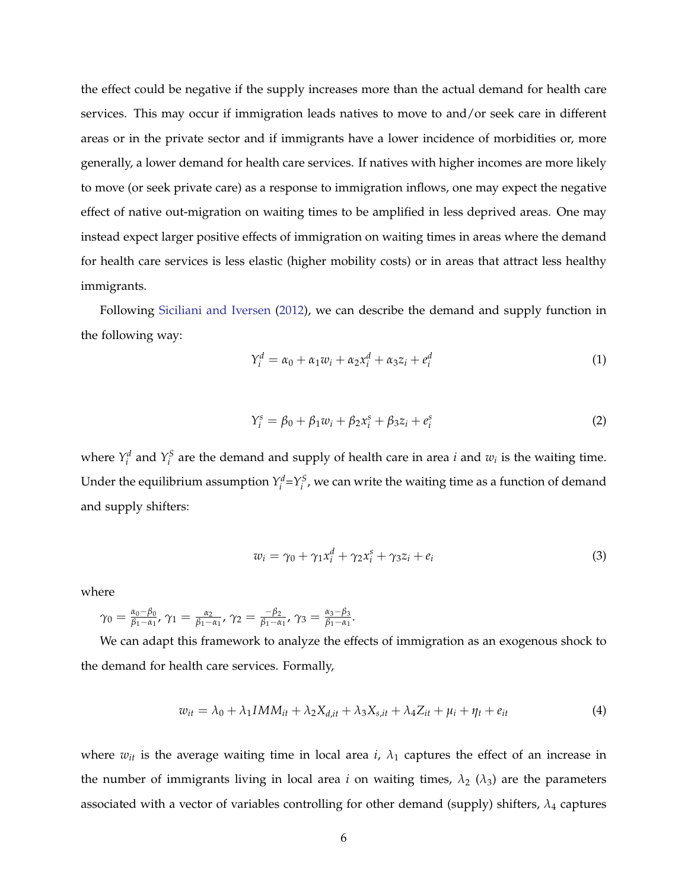the effect could be negative if the supply increases more than the actual demand for health care services. This may occur if immigration leads natives to move to and/or seek care in different areas or in the private sector and if immigrants have a lower incidence of morbidities or, more generally, a lower demand for health care services. If natives with higher incomes are more likely to move (or seek private care) as a response to immigration inflows, one may expect the negative effect of native out-migration on waiting times to be amplified in less deprived areas. One may instead expect larger positive effects of immigration on waiting times in areas where the demand for health care services is less elastic (higher mobility costs) or in areas that attract less healthy immigrants.

Following [Siciliani and Iversen](#page-26-4) [\(2012\)](#page-26-4), we can describe the demand and supply function in the following way:

$$
Y_i^d = \alpha_0 + \alpha_1 w_i + \alpha_2 x_i^d + \alpha_3 z_i + e_i^d \tag{1}
$$

$$
Y_i^s = \beta_0 + \beta_1 w_i + \beta_2 x_i^s + \beta_3 z_i + e_i^s \tag{2}
$$

where  $Y_i^d$  and  $Y_i^S$  are the demand and supply of health care in area *i* and  $w_i$  is the waiting time. Under the equilibrium assumption  $Y_i^d = Y_i^S$ , we can write the waiting time as a function of demand and supply shifters:

$$
w_i = \gamma_0 + \gamma_1 x_i^d + \gamma_2 x_i^s + \gamma_3 z_i + e_i \tag{3}
$$

where

$$
\gamma_0 = \frac{\alpha_0 - \beta_0}{\beta_1 - \alpha_1}, \gamma_1 = \frac{\alpha_2}{\beta_1 - \alpha_1}, \gamma_2 = \frac{-\beta_2}{\beta_1 - \alpha_1}, \gamma_3 = \frac{\alpha_3 - \beta_3}{\beta_1 - \alpha_1}.
$$

We can adapt this framework to analyze the effects of immigration as an exogenous shock to the demand for health care services. Formally,

$$
w_{it} = \lambda_0 + \lambda_1 IMM_{it} + \lambda_2 X_{d,it} + \lambda_3 X_{s,it} + \lambda_4 Z_{it} + \mu_i + \eta_t + e_{it}
$$
\n<sup>(4)</sup>

where  $w_{it}$  is the average waiting time in local area  $i$ ,  $\lambda_1$  captures the effect of an increase in the number of immigrants living in local area *i* on waiting times,  $\lambda_2$  ( $\lambda_3$ ) are the parameters associated with a vector of variables controlling for other demand (supply) shifters, *λ*<sup>4</sup> captures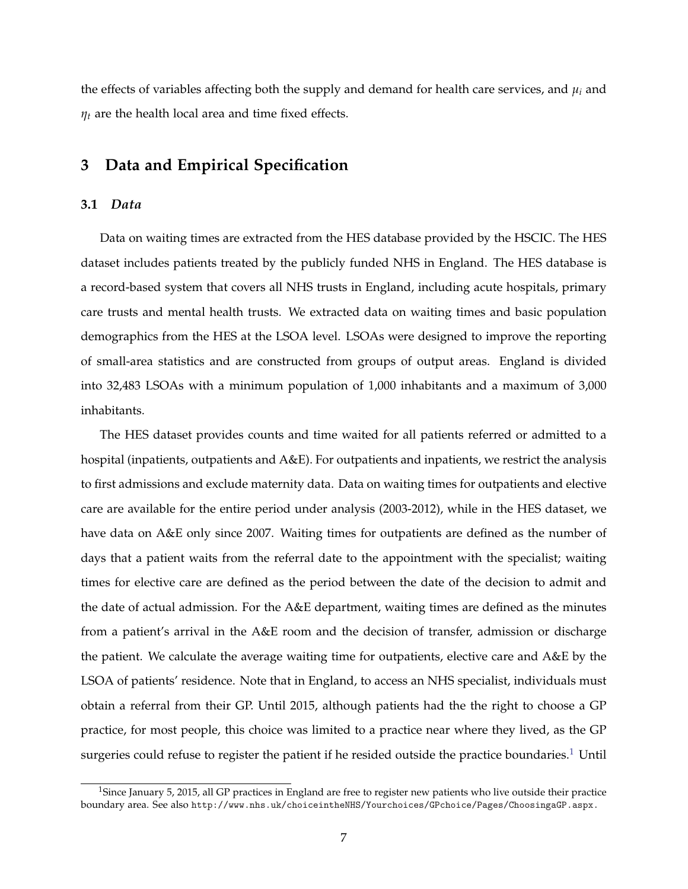the effects of variables affecting both the supply and demand for health care services, and  $\mu_i$  and *η<sup>t</sup>* are the health local area and time fixed effects.

## **3 Data and Empirical Specification**

#### **3.1** *Data*

Data on waiting times are extracted from the HES database provided by the HSCIC. The HES dataset includes patients treated by the publicly funded NHS in England. The HES database is a record-based system that covers all NHS trusts in England, including acute hospitals, primary care trusts and mental health trusts. We extracted data on waiting times and basic population demographics from the HES at the LSOA level. LSOAs were designed to improve the reporting of small-area statistics and are constructed from groups of output areas. England is divided into 32,483 LSOAs with a minimum population of 1,000 inhabitants and a maximum of 3,000 inhabitants.

The HES dataset provides counts and time waited for all patients referred or admitted to a hospital (inpatients, outpatients and A&E). For outpatients and inpatients, we restrict the analysis to first admissions and exclude maternity data. Data on waiting times for outpatients and elective care are available for the entire period under analysis (2003-2012), while in the HES dataset, we have data on A&E only since 2007. Waiting times for outpatients are defined as the number of days that a patient waits from the referral date to the appointment with the specialist; waiting times for elective care are defined as the period between the date of the decision to admit and the date of actual admission. For the A&E department, waiting times are defined as the minutes from a patient's arrival in the A&E room and the decision of transfer, admission or discharge the patient. We calculate the average waiting time for outpatients, elective care and A&E by the LSOA of patients' residence. Note that in England, to access an NHS specialist, individuals must obtain a referral from their GP. Until 2015, although patients had the the right to choose a GP practice, for most people, this choice was limited to a practice near where they lived, as the GP surgeries could refuse to register the patient if he resided outside the practice boundaries.<sup>[1](#page-6-0)</sup> Until

<span id="page-6-0"></span><sup>&</sup>lt;sup>1</sup>Since January 5, 2015, all GP practices in England are free to register new patients who live outside their practice boundary area. See also <http://www.nhs.uk/choiceintheNHS/Yourchoices/GPchoice/Pages/ChoosingaGP.aspx.>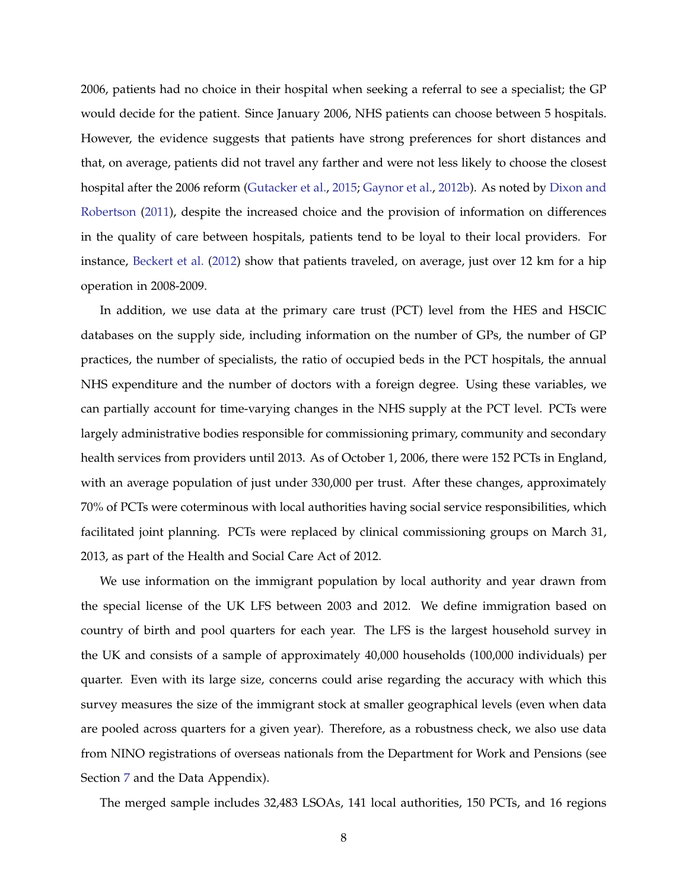2006, patients had no choice in their hospital when seeking a referral to see a specialist; the GP would decide for the patient. Since January 2006, NHS patients can choose between 5 hospitals. However, the evidence suggests that patients have strong preferences for short distances and that, on average, patients did not travel any farther and were not less likely to choose the closest hospital after the 2006 reform [\(Gutacker et al.,](#page-25-5) [2015;](#page-25-5) [Gaynor et al.,](#page-24-7) [2012b\)](#page-24-7). As noted by [Dixon and](#page-24-8) [Robertson](#page-24-8) [\(2011\)](#page-24-8), despite the increased choice and the provision of information on differences in the quality of care between hospitals, patients tend to be loyal to their local providers. For instance, [Beckert et al.](#page-23-3) [\(2012\)](#page-23-3) show that patients traveled, on average, just over 12 km for a hip operation in 2008-2009.

In addition, we use data at the primary care trust (PCT) level from the HES and HSCIC databases on the supply side, including information on the number of GPs, the number of GP practices, the number of specialists, the ratio of occupied beds in the PCT hospitals, the annual NHS expenditure and the number of doctors with a foreign degree. Using these variables, we can partially account for time-varying changes in the NHS supply at the PCT level. PCTs were largely administrative bodies responsible for commissioning primary, community and secondary health services from providers until 2013. As of October 1, 2006, there were 152 PCTs in England, with an average population of just under 330,000 per trust. After these changes, approximately 70% of PCTs were coterminous with local authorities having social service responsibilities, which facilitated joint planning. PCTs were replaced by clinical commissioning groups on March 31, 2013, as part of the Health and Social Care Act of 2012.

We use information on the immigrant population by local authority and year drawn from the special license of the UK LFS between 2003 and 2012. We define immigration based on country of birth and pool quarters for each year. The LFS is the largest household survey in the UK and consists of a sample of approximately 40,000 households (100,000 individuals) per quarter. Even with its large size, concerns could arise regarding the accuracy with which this survey measures the size of the immigrant stock at smaller geographical levels (even when data are pooled across quarters for a given year). Therefore, as a robustness check, we also use data from NINO registrations of overseas nationals from the Department for Work and Pensions (see Section [7](#page-21-0) and the Data Appendix).

The merged sample includes 32,483 LSOAs, 141 local authorities, 150 PCTs, and 16 regions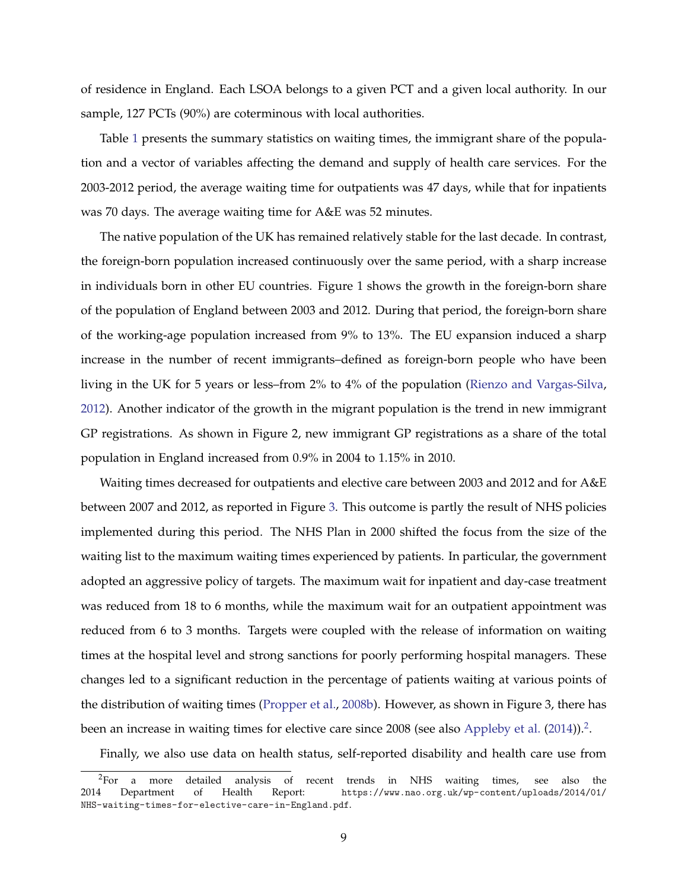of residence in England. Each LSOA belongs to a given PCT and a given local authority. In our sample, 127 PCTs (90%) are coterminous with local authorities.

Table [1](#page-32-0) presents the summary statistics on waiting times, the immigrant share of the population and a vector of variables affecting the demand and supply of health care services. For the 2003-2012 period, the average waiting time for outpatients was 47 days, while that for inpatients was 70 days. The average waiting time for A&E was 52 minutes.

The native population of the UK has remained relatively stable for the last decade. In contrast, the foreign-born population increased continuously over the same period, with a sharp increase in individuals born in other EU countries. Figure 1 shows the growth in the foreign-born share of the population of England between 2003 and 2012. During that period, the foreign-born share of the working-age population increased from 9% to 13%. The EU expansion induced a sharp increase in the number of recent immigrants–defined as foreign-born people who have been living in the UK for 5 years or less–from 2% to 4% of the population [\(Rienzo and Vargas-Silva,](#page-26-5) [2012\)](#page-26-5). Another indicator of the growth in the migrant population is the trend in new immigrant GP registrations. As shown in Figure 2, new immigrant GP registrations as a share of the total population in England increased from 0.9% in 2004 to 1.15% in 2010.

Waiting times decreased for outpatients and elective care between 2003 and 2012 and for A&E between 2007 and 2012, as reported in Figure [3.](#page-29-0) This outcome is partly the result of NHS policies implemented during this period. The NHS Plan in 2000 shifted the focus from the size of the waiting list to the maximum waiting times experienced by patients. In particular, the government adopted an aggressive policy of targets. The maximum wait for inpatient and day-case treatment was reduced from 18 to 6 months, while the maximum wait for an outpatient appointment was reduced from 6 to 3 months. Targets were coupled with the release of information on waiting times at the hospital level and strong sanctions for poorly performing hospital managers. These changes led to a significant reduction in the percentage of patients waiting at various points of the distribution of waiting times [\(Propper et al.,](#page-26-8) [2008b\)](#page-26-8). However, as shown in Figure 3, there has been an increase in waiting times for elective care since 2008 (see also [Appleby et al.](#page-23-4)  $(2014)$ ).<sup>[2](#page-8-0)</sup>.

<span id="page-8-0"></span>Finally, we also use data on health status, self-reported disability and health care use from

<sup>&</sup>lt;sup>2</sup>For a more detailed analysis of recent trends in NHS waiting times, see also the  $\frac{1}{2}$  Department of Health Report: https://www.nao.org.uk/wp-content/uploads/2014/01/ 2014 Department of Health Report: [https://www.nao.org.uk/wp-content/uploads/2014/01/](https://www.nao.org.uk/wp-content/uploads/2014/01/NHS-waiting-times-for-elective-care-in-England.pdf) [NHS-waiting-times-for-elective-care-in-England.pdf](https://www.nao.org.uk/wp-content/uploads/2014/01/NHS-waiting-times-for-elective-care-in-England.pdf).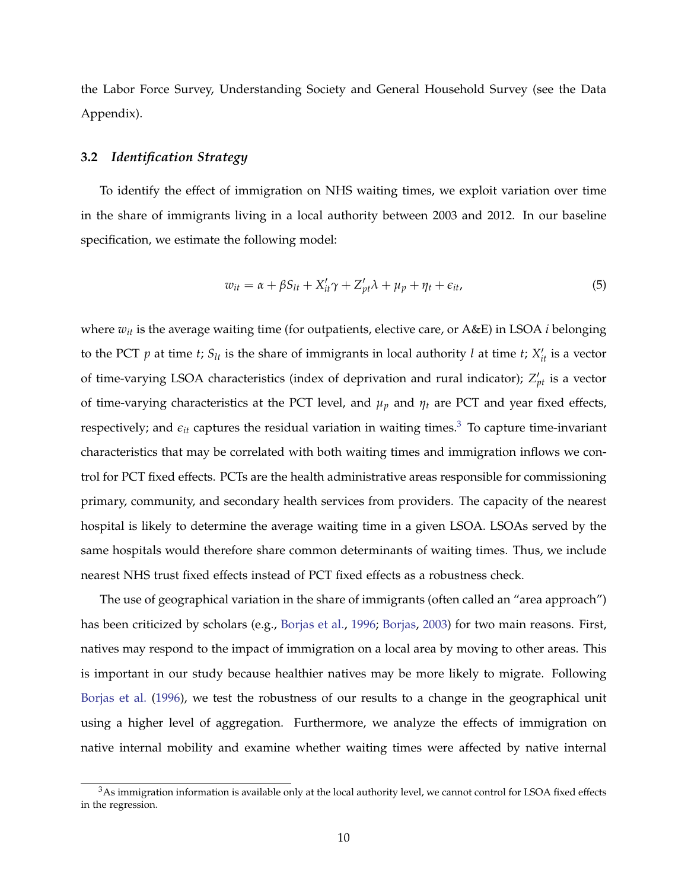the Labor Force Survey, Understanding Society and General Household Survey (see the Data Appendix).

#### **3.2** *Identification Strategy*

To identify the effect of immigration on NHS waiting times, we exploit variation over time in the share of immigrants living in a local authority between 2003 and 2012. In our baseline specification, we estimate the following model:

$$
w_{it} = \alpha + \beta S_{lt} + X_{it}' \gamma + Z_{pt}' \lambda + \mu_p + \eta_t + \epsilon_{it}, \tag{5}
$$

where *wit* is the average waiting time (for outpatients, elective care, or A&E) in LSOA *i* belonging to the PCT  $p$  at time  $t$ ;  $S_{lt}$  is the share of immigrants in local authority  $l$  at time  $t$ ;  $X'_{it}$  is a vector of time-varying LSOA characteristics (index of deprivation and rural indicator);  $Z'_{pt}$  is a vector of time-varying characteristics at the PCT level, and  $\mu_p$  and  $\eta_t$  are PCT and year fixed effects, respectively; and  $\epsilon_{it}$  captures the residual variation in waiting times.<sup>[3](#page-9-0)</sup> To capture time-invariant characteristics that may be correlated with both waiting times and immigration inflows we control for PCT fixed effects. PCTs are the health administrative areas responsible for commissioning primary, community, and secondary health services from providers. The capacity of the nearest hospital is likely to determine the average waiting time in a given LSOA. LSOAs served by the same hospitals would therefore share common determinants of waiting times. Thus, we include nearest NHS trust fixed effects instead of PCT fixed effects as a robustness check.

The use of geographical variation in the share of immigrants (often called an "area approach") has been criticized by scholars (e.g., [Borjas et al.,](#page-23-5) [1996;](#page-23-5) [Borjas,](#page-23-6) [2003\)](#page-23-6) for two main reasons. First, natives may respond to the impact of immigration on a local area by moving to other areas. This is important in our study because healthier natives may be more likely to migrate. Following [Borjas et al.](#page-23-5) [\(1996\)](#page-23-5), we test the robustness of our results to a change in the geographical unit using a higher level of aggregation. Furthermore, we analyze the effects of immigration on native internal mobility and examine whether waiting times were affected by native internal

<span id="page-9-0"></span> $3$ As immigration information is available only at the local authority level, we cannot control for LSOA fixed effects in the regression.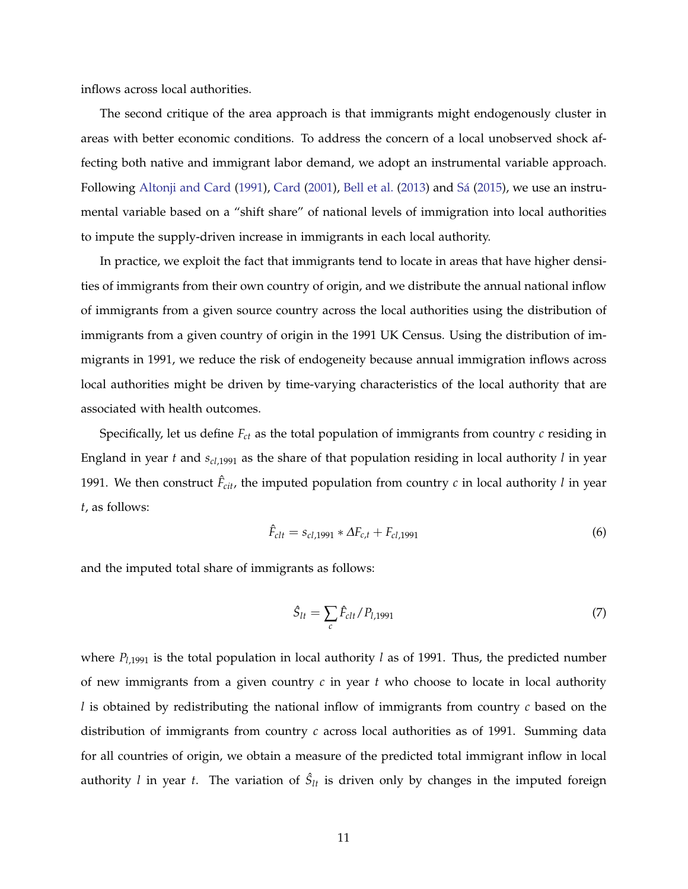inflows across local authorities.

The second critique of the area approach is that immigrants might endogenously cluster in areas with better economic conditions. To address the concern of a local unobserved shock affecting both native and immigrant labor demand, we adopt an instrumental variable approach. Following [Altonji and Card](#page-23-7) [\(1991\)](#page-23-7), [Card](#page-23-8) [\(2001\)](#page-23-8), [Bell et al.](#page-23-1) [\(2013\)](#page-23-1) and Sá [\(2015\)](#page-26-0), we use an instrumental variable based on a "shift share" of national levels of immigration into local authorities to impute the supply-driven increase in immigrants in each local authority.

In practice, we exploit the fact that immigrants tend to locate in areas that have higher densities of immigrants from their own country of origin, and we distribute the annual national inflow of immigrants from a given source country across the local authorities using the distribution of immigrants from a given country of origin in the 1991 UK Census. Using the distribution of immigrants in 1991, we reduce the risk of endogeneity because annual immigration inflows across local authorities might be driven by time-varying characteristics of the local authority that are associated with health outcomes.

Specifically, let us define *Fct* as the total population of immigrants from country *c* residing in England in year *t* and *scl*,1991 as the share of that population residing in local authority *l* in year 1991. We then construct  $\hat{F}_{\text{cit}}$ , the imputed population from country *c* in local authority *l* in year *t*, as follows:

$$
\hat{F}_{clt} = s_{cl,1991} * \Delta F_{c,t} + F_{cl,1991} \tag{6}
$$

and the imputed total share of immigrants as follows:

$$
\hat{S}_{lt} = \sum_{c} \hat{F}_{clt} / P_{l,1991}
$$
 (7)

where  $P_{l,1991}$  is the total population in local authority *l* as of 1991. Thus, the predicted number of new immigrants from a given country *c* in year *t* who choose to locate in local authority *l* is obtained by redistributing the national inflow of immigrants from country *c* based on the distribution of immigrants from country *c* across local authorities as of 1991. Summing data for all countries of origin, we obtain a measure of the predicted total immigrant inflow in local authority *l* in year *t*. The variation of  $\hat{S}_{lt}$  is driven only by changes in the imputed foreign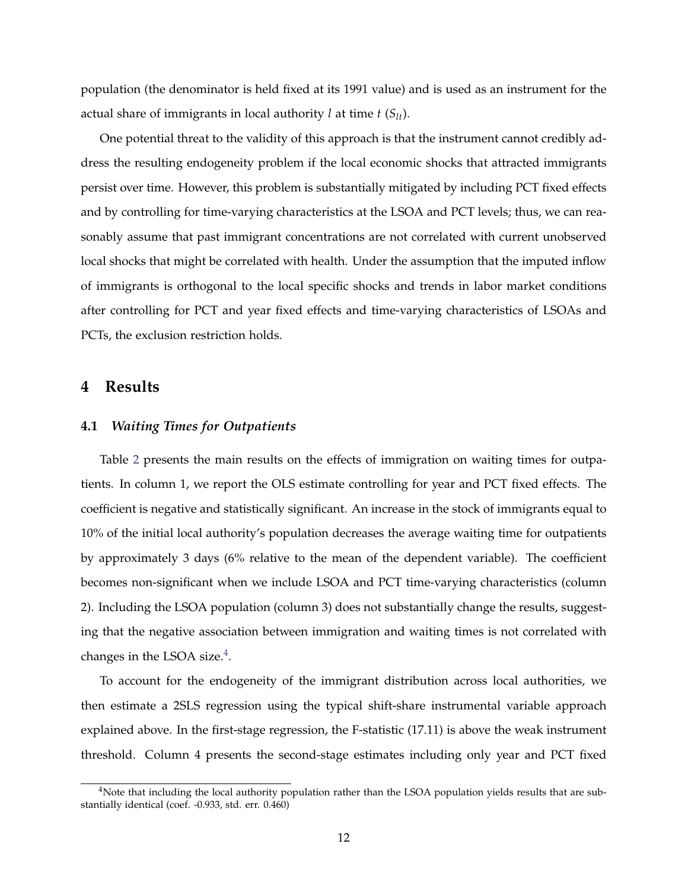population (the denominator is held fixed at its 1991 value) and is used as an instrument for the actual share of immigrants in local authority *l* at time *t* (*Slt*).

One potential threat to the validity of this approach is that the instrument cannot credibly address the resulting endogeneity problem if the local economic shocks that attracted immigrants persist over time. However, this problem is substantially mitigated by including PCT fixed effects and by controlling for time-varying characteristics at the LSOA and PCT levels; thus, we can reasonably assume that past immigrant concentrations are not correlated with current unobserved local shocks that might be correlated with health. Under the assumption that the imputed inflow of immigrants is orthogonal to the local specific shocks and trends in labor market conditions after controlling for PCT and year fixed effects and time-varying characteristics of LSOAs and PCTs, the exclusion restriction holds.

#### **4 Results**

#### **4.1** *Waiting Times for Outpatients*

Table [2](#page-33-0) presents the main results on the effects of immigration on waiting times for outpatients. In column 1, we report the OLS estimate controlling for year and PCT fixed effects. The coefficient is negative and statistically significant. An increase in the stock of immigrants equal to 10% of the initial local authority's population decreases the average waiting time for outpatients by approximately 3 days (6% relative to the mean of the dependent variable). The coefficient becomes non-significant when we include LSOA and PCT time-varying characteristics (column 2). Including the LSOA population (column 3) does not substantially change the results, suggesting that the negative association between immigration and waiting times is not correlated with changes in the LSOA size. $4$ .

To account for the endogeneity of the immigrant distribution across local authorities, we then estimate a 2SLS regression using the typical shift-share instrumental variable approach explained above. In the first-stage regression, the F-statistic (17.11) is above the weak instrument threshold. Column 4 presents the second-stage estimates including only year and PCT fixed

<span id="page-11-0"></span> $4$ Note that including the local authority population rather than the LSOA population yields results that are substantially identical (coef. -0.933, std. err. 0.460)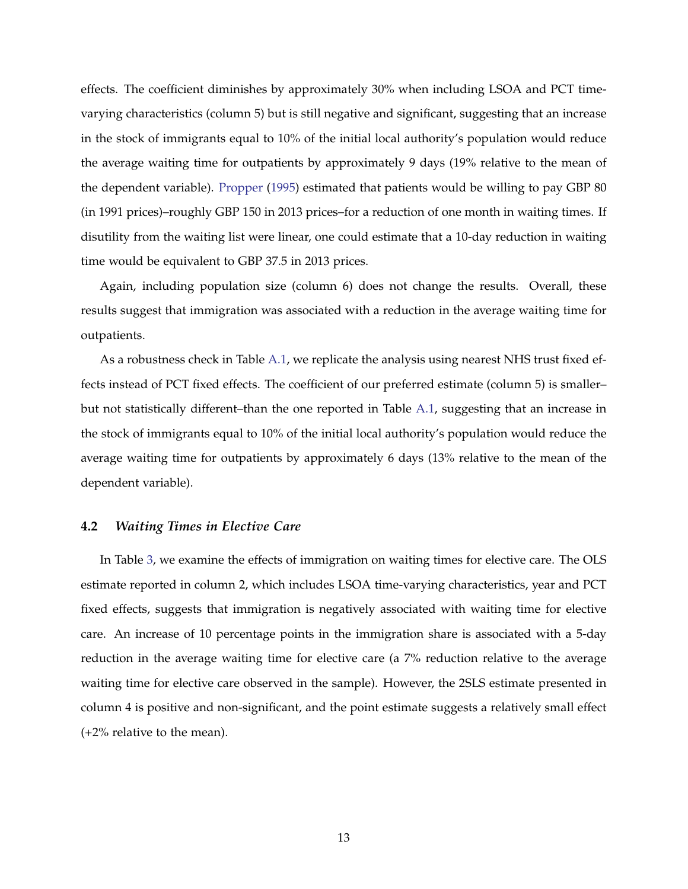effects. The coefficient diminishes by approximately 30% when including LSOA and PCT timevarying characteristics (column 5) but is still negative and significant, suggesting that an increase in the stock of immigrants equal to 10% of the initial local authority's population would reduce the average waiting time for outpatients by approximately 9 days (19% relative to the mean of the dependent variable). [Propper](#page-25-2) [\(1995\)](#page-25-2) estimated that patients would be willing to pay GBP 80 (in 1991 prices)–roughly GBP 150 in 2013 prices–for a reduction of one month in waiting times. If disutility from the waiting list were linear, one could estimate that a 10-day reduction in waiting time would be equivalent to GBP 37.5 in 2013 prices.

Again, including population size (column 6) does not change the results. Overall, these results suggest that immigration was associated with a reduction in the average waiting time for outpatients.

As a robustness check in Table [A.1,](#page-48-0) we replicate the analysis using nearest NHS trust fixed effects instead of PCT fixed effects. The coefficient of our preferred estimate (column 5) is smaller– but not statistically different–than the one reported in Table [A.1,](#page-48-0) suggesting that an increase in the stock of immigrants equal to 10% of the initial local authority's population would reduce the average waiting time for outpatients by approximately 6 days (13% relative to the mean of the dependent variable).

#### **4.2** *Waiting Times in Elective Care*

In Table [3,](#page-34-0) we examine the effects of immigration on waiting times for elective care. The OLS estimate reported in column 2, which includes LSOA time-varying characteristics, year and PCT fixed effects, suggests that immigration is negatively associated with waiting time for elective care. An increase of 10 percentage points in the immigration share is associated with a 5-day reduction in the average waiting time for elective care (a 7% reduction relative to the average waiting time for elective care observed in the sample). However, the 2SLS estimate presented in column 4 is positive and non-significant, and the point estimate suggests a relatively small effect (+2% relative to the mean).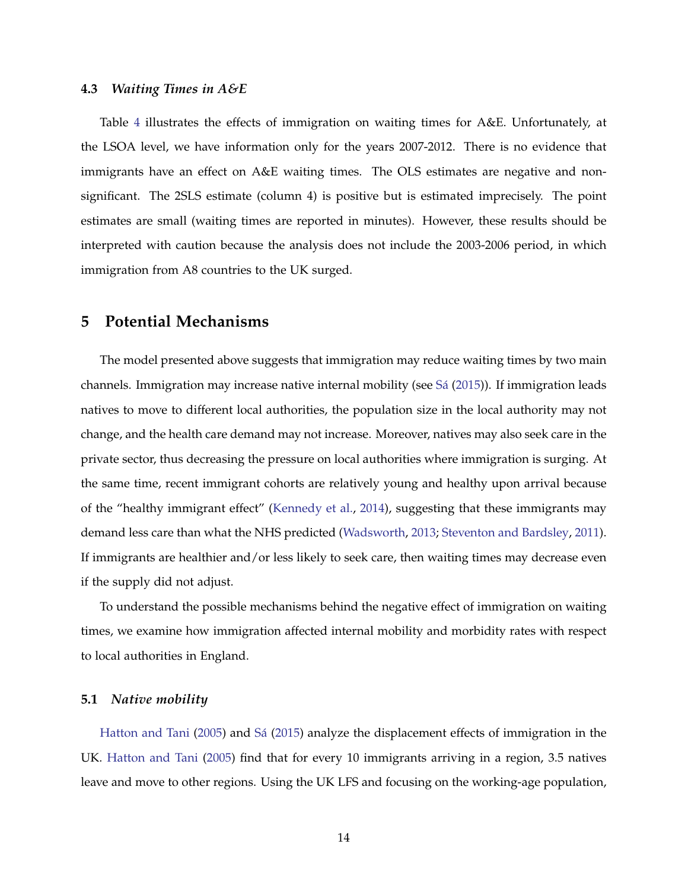#### **4.3** *Waiting Times in A&E*

Table [4](#page-35-0) illustrates the effects of immigration on waiting times for A&E. Unfortunately, at the LSOA level, we have information only for the years 2007-2012. There is no evidence that immigrants have an effect on A&E waiting times. The OLS estimates are negative and nonsignificant. The 2SLS estimate (column 4) is positive but is estimated imprecisely. The point estimates are small (waiting times are reported in minutes). However, these results should be interpreted with caution because the analysis does not include the 2003-2006 period, in which immigration from A8 countries to the UK surged.

## **5 Potential Mechanisms**

The model presented above suggests that immigration may reduce waiting times by two main channels. Immigration may increase native internal mobility (see  $S\acute{a}$  [\(2015\)](#page-26-0)). If immigration leads natives to move to different local authorities, the population size in the local authority may not change, and the health care demand may not increase. Moreover, natives may also seek care in the private sector, thus decreasing the pressure on local authorities where immigration is surging. At the same time, recent immigrant cohorts are relatively young and healthy upon arrival because of the "healthy immigrant effect" [\(Kennedy et al.,](#page-25-6) [2014\)](#page-25-6), suggesting that these immigrants may demand less care than what the NHS predicted [\(Wadsworth,](#page-26-1) [2013;](#page-26-1) [Steventon and Bardsley,](#page-26-2) [2011\)](#page-26-2). If immigrants are healthier and/or less likely to seek care, then waiting times may decrease even if the supply did not adjust.

To understand the possible mechanisms behind the negative effect of immigration on waiting times, we examine how immigration affected internal mobility and morbidity rates with respect to local authorities in England.

#### **5.1** *Native mobility*

[Hatton and Tani](#page-25-7) [\(2005\)](#page-25-7) and Sá [\(2015\)](#page-26-0) analyze the displacement effects of immigration in the UK. [Hatton and Tani](#page-25-7) [\(2005\)](#page-25-7) find that for every 10 immigrants arriving in a region, 3.5 natives leave and move to other regions. Using the UK LFS and focusing on the working-age population,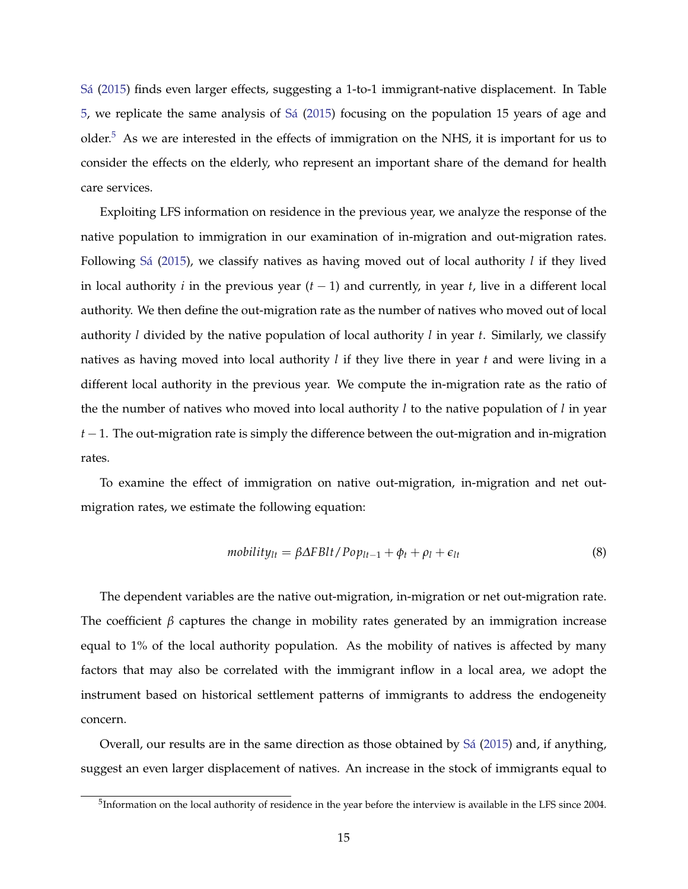[Sa´](#page-26-0) [\(2015\)](#page-26-0) finds even larger effects, suggesting a 1-to-1 immigrant-native displacement. In Table [5,](#page-36-0) we replicate the same analysis of [Sa´](#page-26-0) [\(2015\)](#page-26-0) focusing on the population 15 years of age and older.<sup>[5](#page-14-0)</sup> As we are interested in the effects of immigration on the NHS, it is important for us to consider the effects on the elderly, who represent an important share of the demand for health care services.

Exploiting LFS information on residence in the previous year, we analyze the response of the native population to immigration in our examination of in-migration and out-migration rates. Following Sá [\(2015\)](#page-26-0), we classify natives as having moved out of local authority *l* if they lived in local authority *i* in the previous year (*t* − 1) and currently, in year *t*, live in a different local authority. We then define the out-migration rate as the number of natives who moved out of local authority *l* divided by the native population of local authority *l* in year *t*. Similarly, we classify natives as having moved into local authority *l* if they live there in year *t* and were living in a different local authority in the previous year. We compute the in-migration rate as the ratio of the the number of natives who moved into local authority *l* to the native population of *l* in year *t* − 1. The out-migration rate is simply the difference between the out-migration and in-migration rates.

To examine the effect of immigration on native out-migration, in-migration and net outmigration rates, we estimate the following equation:

$$
mobility_{lt} = \beta \Delta FBlt / Pop_{lt-1} + \phi_t + \rho_l + \epsilon_{lt}
$$
\n(8)

The dependent variables are the native out-migration, in-migration or net out-migration rate. The coefficient  $\beta$  captures the change in mobility rates generated by an immigration increase equal to 1% of the local authority population. As the mobility of natives is affected by many factors that may also be correlated with the immigrant inflow in a local area, we adopt the instrument based on historical settlement patterns of immigrants to address the endogeneity concern.

Overall, our results are in the same direction as those obtained by Sa<sup> $(2015)$ </sup> and, if anything, suggest an even larger displacement of natives. An increase in the stock of immigrants equal to

<span id="page-14-0"></span> $5$ Information on the local authority of residence in the year before the interview is available in the LFS since 2004.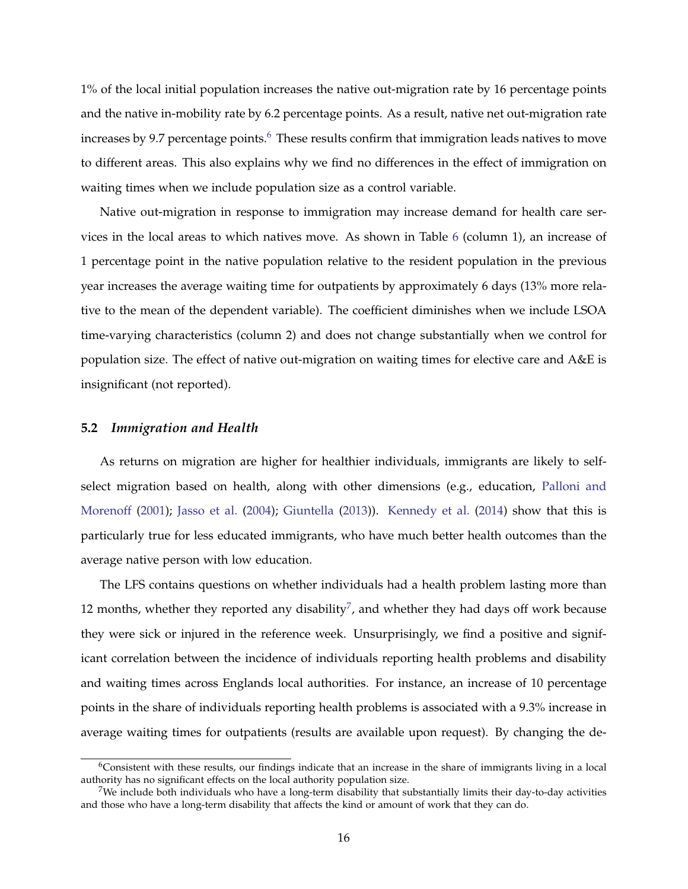1% of the local initial population increases the native out-migration rate by 16 percentage points and the native in-mobility rate by 6.2 percentage points. As a result, native net out-migration rate increases by 9.7 percentage points. $6$  These results confirm that immigration leads natives to move to different areas. This also explains why we find no differences in the effect of immigration on waiting times when we include population size as a control variable.

Native out-migration in response to immigration may increase demand for health care services in the local areas to which natives move. As shown in Table [6](#page-37-0) (column 1), an increase of 1 percentage point in the native population relative to the resident population in the previous year increases the average waiting time for outpatients by approximately 6 days (13% more relative to the mean of the dependent variable). The coefficient diminishes when we include LSOA time-varying characteristics (column 2) and does not change substantially when we control for population size. The effect of native out-migration on waiting times for elective care and A&E is insignificant (not reported).

#### **5.2** *Immigration and Health*

As returns on migration are higher for healthier individuals, immigrants are likely to selfselect migration based on health, along with other dimensions (e.g., education, [Palloni and](#page-25-8) [Morenoff](#page-25-8) [\(2001\)](#page-25-8); [Jasso et al.](#page-25-9) [\(2004\)](#page-25-9); [Giuntella](#page-24-9) [\(2013\)](#page-24-9)). [Kennedy et al.](#page-25-6) [\(2014\)](#page-25-6) show that this is particularly true for less educated immigrants, who have much better health outcomes than the average native person with low education.

The LFS contains questions on whether individuals had a health problem lasting more than 12 months, whether they reported any disability<sup>[7](#page-15-1)</sup>, and whether they had days off work because they were sick or injured in the reference week. Unsurprisingly, we find a positive and significant correlation between the incidence of individuals reporting health problems and disability and waiting times across Englands local authorities. For instance, an increase of 10 percentage points in the share of individuals reporting health problems is associated with a 9.3% increase in average waiting times for outpatients (results are available upon request). By changing the de-

<span id="page-15-0"></span> $6$ Consistent with these results, our findings indicate that an increase in the share of immigrants living in a local authority has no significant effects on the local authority population size.

<span id="page-15-1"></span><sup>&</sup>lt;sup>7</sup>We include both individuals who have a long-term disability that substantially limits their day-to-day activities and those who have a long-term disability that affects the kind or amount of work that they can do.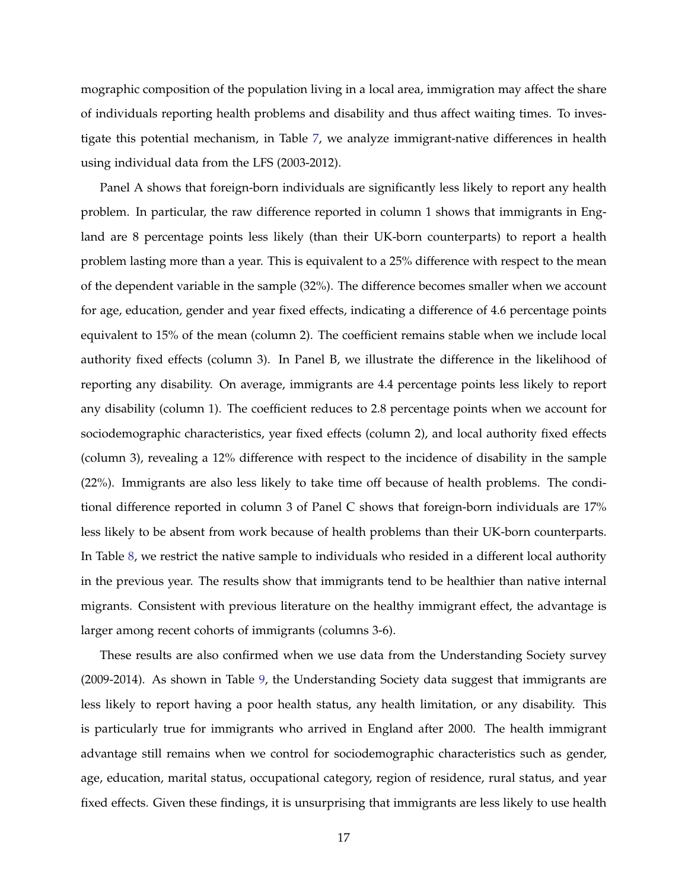mographic composition of the population living in a local area, immigration may affect the share of individuals reporting health problems and disability and thus affect waiting times. To investigate this potential mechanism, in Table [7,](#page-38-0) we analyze immigrant-native differences in health using individual data from the LFS (2003-2012).

Panel A shows that foreign-born individuals are significantly less likely to report any health problem. In particular, the raw difference reported in column 1 shows that immigrants in England are 8 percentage points less likely (than their UK-born counterparts) to report a health problem lasting more than a year. This is equivalent to a 25% difference with respect to the mean of the dependent variable in the sample (32%). The difference becomes smaller when we account for age, education, gender and year fixed effects, indicating a difference of 4.6 percentage points equivalent to 15% of the mean (column 2). The coefficient remains stable when we include local authority fixed effects (column 3). In Panel B, we illustrate the difference in the likelihood of reporting any disability. On average, immigrants are 4.4 percentage points less likely to report any disability (column 1). The coefficient reduces to 2.8 percentage points when we account for sociodemographic characteristics, year fixed effects (column 2), and local authority fixed effects (column 3), revealing a 12% difference with respect to the incidence of disability in the sample (22%). Immigrants are also less likely to take time off because of health problems. The conditional difference reported in column 3 of Panel C shows that foreign-born individuals are 17% less likely to be absent from work because of health problems than their UK-born counterparts. In Table [8,](#page-39-0) we restrict the native sample to individuals who resided in a different local authority in the previous year. The results show that immigrants tend to be healthier than native internal migrants. Consistent with previous literature on the healthy immigrant effect, the advantage is larger among recent cohorts of immigrants (columns 3-6).

These results are also confirmed when we use data from the Understanding Society survey (2009-2014). As shown in Table [9,](#page-40-0) the Understanding Society data suggest that immigrants are less likely to report having a poor health status, any health limitation, or any disability. This is particularly true for immigrants who arrived in England after 2000. The health immigrant advantage still remains when we control for sociodemographic characteristics such as gender, age, education, marital status, occupational category, region of residence, rural status, and year fixed effects. Given these findings, it is unsurprising that immigrants are less likely to use health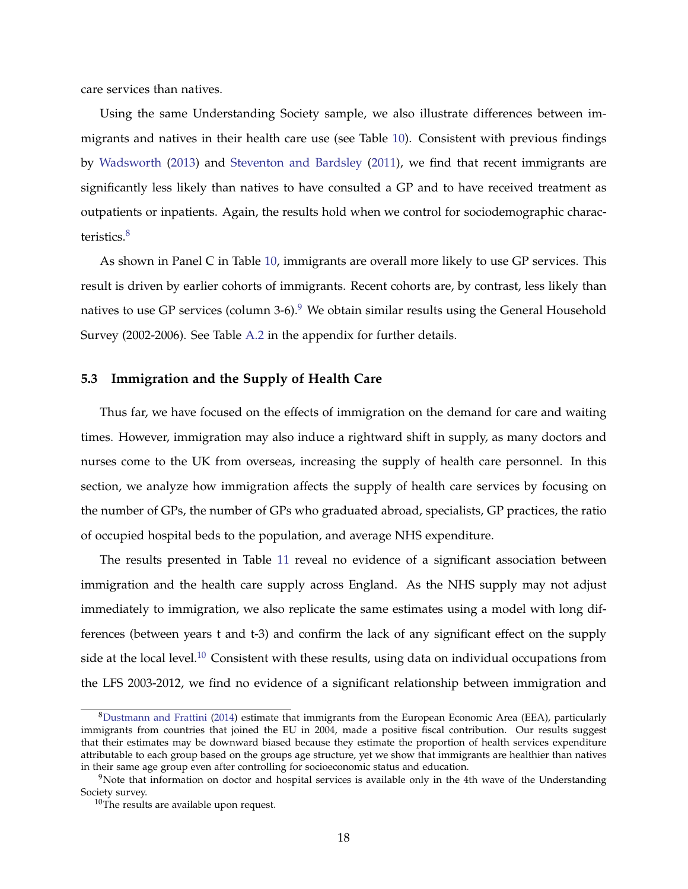care services than natives.

Using the same Understanding Society sample, we also illustrate differences between immigrants and natives in their health care use (see Table [10\)](#page-41-0). Consistent with previous findings by [Wadsworth](#page-26-1) [\(2013\)](#page-26-1) and [Steventon and Bardsley](#page-26-2) [\(2011\)](#page-26-2), we find that recent immigrants are significantly less likely than natives to have consulted a GP and to have received treatment as outpatients or inpatients. Again, the results hold when we control for sociodemographic charac-teristics.<sup>[8](#page-17-0)</sup>

As shown in Panel C in Table [10,](#page-41-0) immigrants are overall more likely to use GP services. This result is driven by earlier cohorts of immigrants. Recent cohorts are, by contrast, less likely than natives to use GP services (column 3-6). $9$  We obtain similar results using the General Household Survey (2002-2006). See Table [A.2](#page-49-0) in the appendix for further details.

#### **5.3 Immigration and the Supply of Health Care**

Thus far, we have focused on the effects of immigration on the demand for care and waiting times. However, immigration may also induce a rightward shift in supply, as many doctors and nurses come to the UK from overseas, increasing the supply of health care personnel. In this section, we analyze how immigration affects the supply of health care services by focusing on the number of GPs, the number of GPs who graduated abroad, specialists, GP practices, the ratio of occupied hospital beds to the population, and average NHS expenditure.

The results presented in Table [11](#page-42-0) reveal no evidence of a significant association between immigration and the health care supply across England. As the NHS supply may not adjust immediately to immigration, we also replicate the same estimates using a model with long differences (between years t and t-3) and confirm the lack of any significant effect on the supply side at the local level.<sup>[10](#page-17-2)</sup> Consistent with these results, using data on individual occupations from the LFS 2003-2012, we find no evidence of a significant relationship between immigration and

<span id="page-17-0"></span> $8$ [Dustmann and Frattini](#page-24-1) [\(2014\)](#page-24-1) estimate that immigrants from the European Economic Area (EEA), particularly immigrants from countries that joined the EU in 2004, made a positive fiscal contribution. Our results suggest that their estimates may be downward biased because they estimate the proportion of health services expenditure attributable to each group based on the groups age structure, yet we show that immigrants are healthier than natives in their same age group even after controlling for socioeconomic status and education.

<span id="page-17-1"></span> $9$ Note that information on doctor and hospital services is available only in the 4th wave of the Understanding Society survey.

<span id="page-17-2"></span><sup>&</sup>lt;sup>10</sup>The results are available upon request.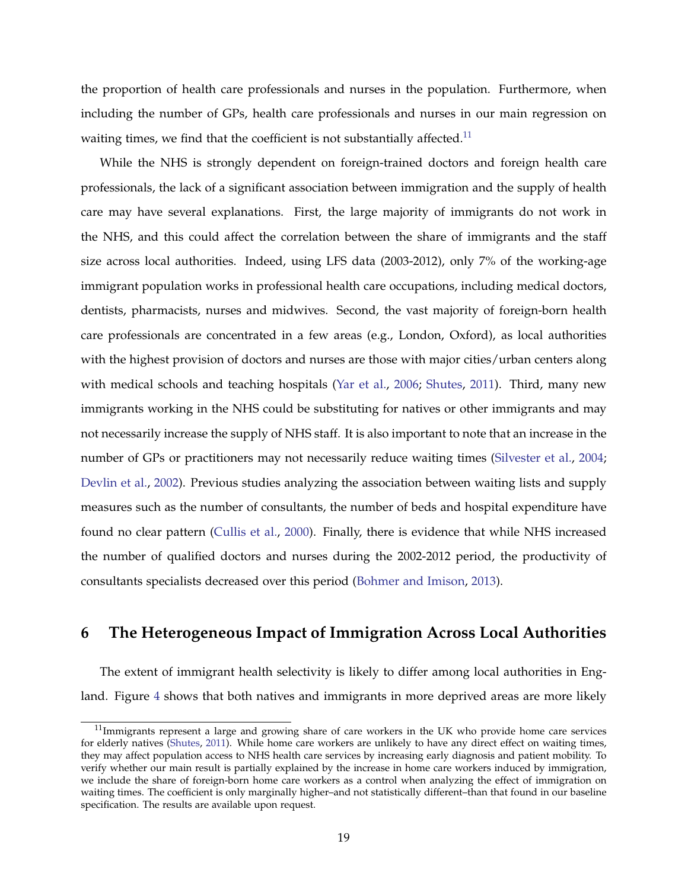the proportion of health care professionals and nurses in the population. Furthermore, when including the number of GPs, health care professionals and nurses in our main regression on waiting times, we find that the coefficient is not substantially affected.<sup>[11](#page-18-0)</sup>

While the NHS is strongly dependent on foreign-trained doctors and foreign health care professionals, the lack of a significant association between immigration and the supply of health care may have several explanations. First, the large majority of immigrants do not work in the NHS, and this could affect the correlation between the share of immigrants and the staff size across local authorities. Indeed, using LFS data (2003-2012), only 7% of the working-age immigrant population works in professional health care occupations, including medical doctors, dentists, pharmacists, nurses and midwives. Second, the vast majority of foreign-born health care professionals are concentrated in a few areas (e.g., London, Oxford), as local authorities with the highest provision of doctors and nurses are those with major cities/urban centers along with medical schools and teaching hospitals [\(Yar et al.,](#page-26-9) [2006;](#page-26-9) [Shutes,](#page-26-10) [2011\)](#page-26-10). Third, many new immigrants working in the NHS could be substituting for natives or other immigrants and may not necessarily increase the supply of NHS staff. It is also important to note that an increase in the number of GPs or practitioners may not necessarily reduce waiting times [\(Silvester et al.,](#page-26-11) [2004;](#page-26-11) [Devlin et al.,](#page-24-10) [2002\)](#page-24-10). Previous studies analyzing the association between waiting lists and supply measures such as the number of consultants, the number of beds and hospital expenditure have found no clear pattern [\(Cullis et al.,](#page-24-5) [2000\)](#page-24-5). Finally, there is evidence that while NHS increased the number of qualified doctors and nurses during the 2002-2012 period, the productivity of consultants specialists decreased over this period [\(Bohmer and Imison,](#page-23-9) [2013\)](#page-23-9).

## **6 The Heterogeneous Impact of Immigration Across Local Authorities**

The extent of immigrant health selectivity is likely to differ among local authorities in Eng-land. Figure [4](#page-30-0) shows that both natives and immigrants in more deprived areas are more likely

<span id="page-18-0"></span> $11$ Immigrants represent a large and growing share of care workers in the UK who provide home care services for elderly natives [\(Shutes,](#page-26-10) [2011\)](#page-26-10). While home care workers are unlikely to have any direct effect on waiting times, they may affect population access to NHS health care services by increasing early diagnosis and patient mobility. To verify whether our main result is partially explained by the increase in home care workers induced by immigration, we include the share of foreign-born home care workers as a control when analyzing the effect of immigration on waiting times. The coefficient is only marginally higher–and not statistically different–than that found in our baseline specification. The results are available upon request.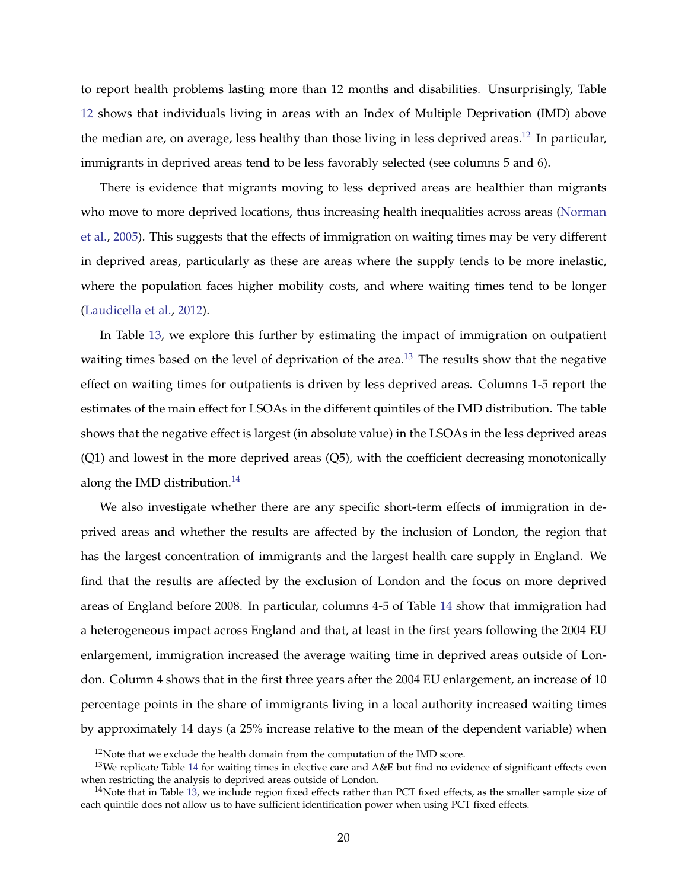to report health problems lasting more than 12 months and disabilities. Unsurprisingly, Table [12](#page-43-0) shows that individuals living in areas with an Index of Multiple Deprivation (IMD) above the median are, on average, less healthy than those living in less deprived areas.<sup>[12](#page-19-0)</sup> In particular, immigrants in deprived areas tend to be less favorably selected (see columns 5 and 6).

There is evidence that migrants moving to less deprived areas are healthier than migrants who move to more deprived locations, thus increasing health inequalities across areas [\(Norman](#page-25-10) [et al.,](#page-25-10) [2005\)](#page-25-10). This suggests that the effects of immigration on waiting times may be very different in deprived areas, particularly as these are areas where the supply tends to be more inelastic, where the population faces higher mobility costs, and where waiting times tend to be longer [\(Laudicella et al.,](#page-25-3) [2012\)](#page-25-3).

In Table [13,](#page-44-0) we explore this further by estimating the impact of immigration on outpatient waiting times based on the level of deprivation of the area.<sup>[13](#page-19-1)</sup> The results show that the negative effect on waiting times for outpatients is driven by less deprived areas. Columns 1-5 report the estimates of the main effect for LSOAs in the different quintiles of the IMD distribution. The table shows that the negative effect is largest (in absolute value) in the LSOAs in the less deprived areas (Q1) and lowest in the more deprived areas (Q5), with the coefficient decreasing monotonically along the IMD distribution.<sup>[14](#page-19-2)</sup>

We also investigate whether there are any specific short-term effects of immigration in deprived areas and whether the results are affected by the inclusion of London, the region that has the largest concentration of immigrants and the largest health care supply in England. We find that the results are affected by the exclusion of London and the focus on more deprived areas of England before 2008. In particular, columns 4-5 of Table [14](#page-45-0) show that immigration had a heterogeneous impact across England and that, at least in the first years following the 2004 EU enlargement, immigration increased the average waiting time in deprived areas outside of London. Column 4 shows that in the first three years after the 2004 EU enlargement, an increase of 10 percentage points in the share of immigrants living in a local authority increased waiting times by approximately 14 days (a 25% increase relative to the mean of the dependent variable) when

<span id="page-19-1"></span><span id="page-19-0"></span><sup>&</sup>lt;sup>12</sup>Note that we exclude the health domain from the computation of the IMD score.

 $13$ We replicate Table [14](#page-45-0) for waiting times in elective care and A&E but find no evidence of significant effects even when restricting the analysis to deprived areas outside of London.

<span id="page-19-2"></span> $14$ Note that in Table [13,](#page-44-0) we include region fixed effects rather than PCT fixed effects, as the smaller sample size of each quintile does not allow us to have sufficient identification power when using PCT fixed effects.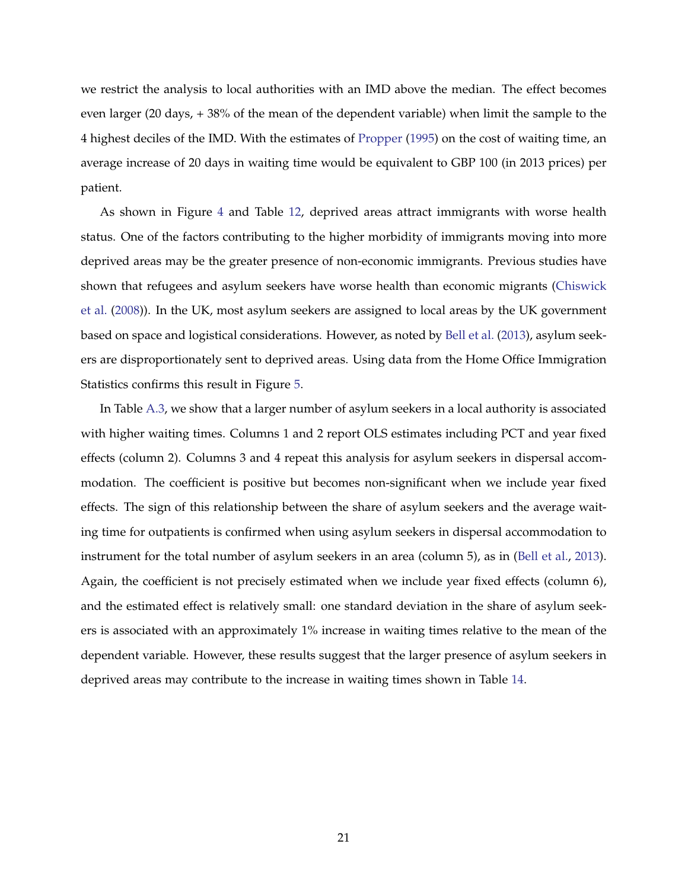we restrict the analysis to local authorities with an IMD above the median. The effect becomes even larger (20 days, + 38% of the mean of the dependent variable) when limit the sample to the 4 highest deciles of the IMD. With the estimates of [Propper](#page-25-2) [\(1995\)](#page-25-2) on the cost of waiting time, an average increase of 20 days in waiting time would be equivalent to GBP 100 (in 2013 prices) per patient.

As shown in Figure [4](#page-30-0) and Table [12,](#page-43-0) deprived areas attract immigrants with worse health status. One of the factors contributing to the higher morbidity of immigrants moving into more deprived areas may be the greater presence of non-economic immigrants. Previous studies have shown that refugees and asylum seekers have worse health than economic migrants [\(Chiswick](#page-24-11) [et al.](#page-24-11) [\(2008\)](#page-24-11)). In the UK, most asylum seekers are assigned to local areas by the UK government based on space and logistical considerations. However, as noted by [Bell et al.](#page-23-1) [\(2013\)](#page-23-1), asylum seekers are disproportionately sent to deprived areas. Using data from the Home Office Immigration Statistics confirms this result in Figure [5.](#page-31-0)

In Table [A.3,](#page-50-0) we show that a larger number of asylum seekers in a local authority is associated with higher waiting times. Columns 1 and 2 report OLS estimates including PCT and year fixed effects (column 2). Columns 3 and 4 repeat this analysis for asylum seekers in dispersal accommodation. The coefficient is positive but becomes non-significant when we include year fixed effects. The sign of this relationship between the share of asylum seekers and the average waiting time for outpatients is confirmed when using asylum seekers in dispersal accommodation to instrument for the total number of asylum seekers in an area (column 5), as in [\(Bell et al.,](#page-23-1) [2013\)](#page-23-1). Again, the coefficient is not precisely estimated when we include year fixed effects (column 6), and the estimated effect is relatively small: one standard deviation in the share of asylum seekers is associated with an approximately 1% increase in waiting times relative to the mean of the dependent variable. However, these results suggest that the larger presence of asylum seekers in deprived areas may contribute to the increase in waiting times shown in Table [14.](#page-45-0)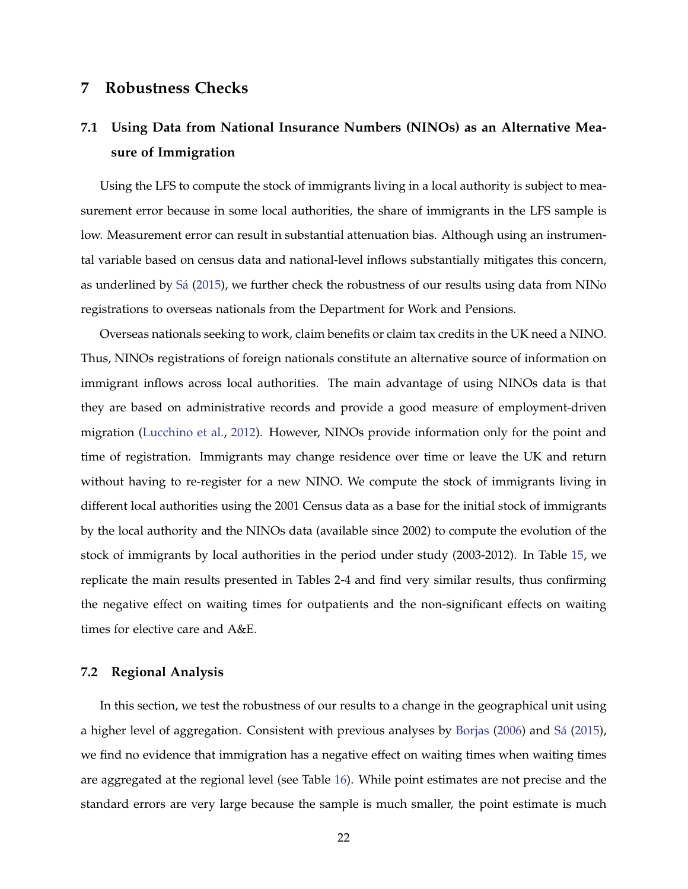## <span id="page-21-0"></span>**7 Robustness Checks**

# **7.1 Using Data from National Insurance Numbers (NINOs) as an Alternative Measure of Immigration**

Using the LFS to compute the stock of immigrants living in a local authority is subject to measurement error because in some local authorities, the share of immigrants in the LFS sample is low. Measurement error can result in substantial attenuation bias. Although using an instrumental variable based on census data and national-level inflows substantially mitigates this concern, as underlined by Sá [\(2015\)](#page-26-0), we further check the robustness of our results using data from NINo registrations to overseas nationals from the Department for Work and Pensions.

Overseas nationals seeking to work, claim benefits or claim tax credits in the UK need a NINO. Thus, NINOs registrations of foreign nationals constitute an alternative source of information on immigrant inflows across local authorities. The main advantage of using NINOs data is that they are based on administrative records and provide a good measure of employment-driven migration [\(Lucchino et al.,](#page-25-11) [2012\)](#page-25-11). However, NINOs provide information only for the point and time of registration. Immigrants may change residence over time or leave the UK and return without having to re-register for a new NINO. We compute the stock of immigrants living in different local authorities using the 2001 Census data as a base for the initial stock of immigrants by the local authority and the NINOs data (available since 2002) to compute the evolution of the stock of immigrants by local authorities in the period under study (2003-2012). In Table [15,](#page-46-0) we replicate the main results presented in Tables 2-4 and find very similar results, thus confirming the negative effect on waiting times for outpatients and the non-significant effects on waiting times for elective care and A&E.

#### **7.2 Regional Analysis**

In this section, we test the robustness of our results to a change in the geographical unit using a higher level of aggregation. Consistent with previous analyses by [Borjas](#page-23-10) [\(2006\)](#page-23-10) and Sá [\(2015\)](#page-26-0), we find no evidence that immigration has a negative effect on waiting times when waiting times are aggregated at the regional level (see Table [16\)](#page-47-0). While point estimates are not precise and the standard errors are very large because the sample is much smaller, the point estimate is much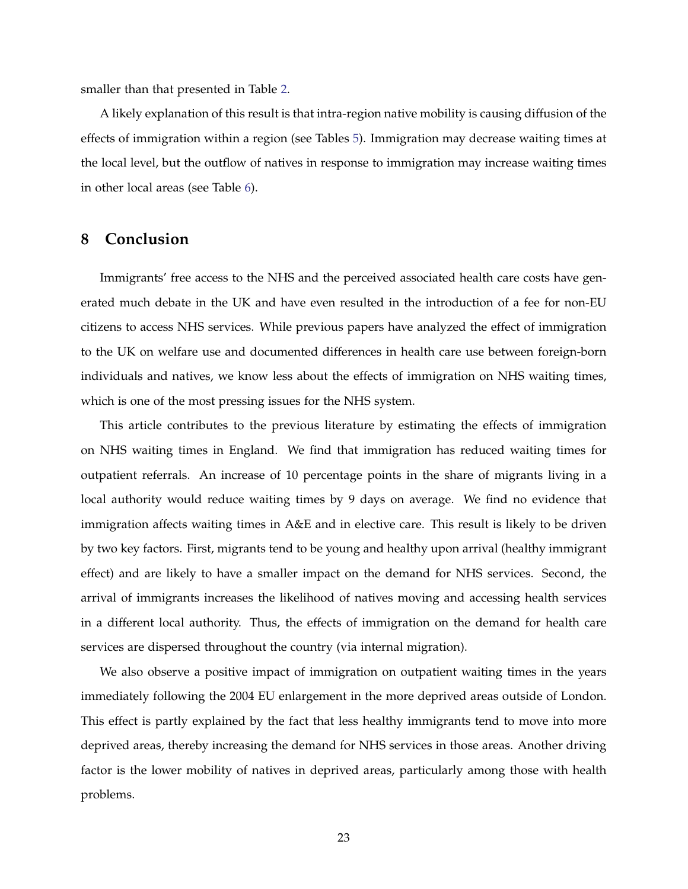smaller than that presented in Table [2.](#page-33-0)

A likely explanation of this result is that intra-region native mobility is causing diffusion of the effects of immigration within a region (see Tables [5\)](#page-36-0). Immigration may decrease waiting times at the local level, but the outflow of natives in response to immigration may increase waiting times in other local areas (see Table [6\)](#page-37-0).

## **8 Conclusion**

Immigrants' free access to the NHS and the perceived associated health care costs have generated much debate in the UK and have even resulted in the introduction of a fee for non-EU citizens to access NHS services. While previous papers have analyzed the effect of immigration to the UK on welfare use and documented differences in health care use between foreign-born individuals and natives, we know less about the effects of immigration on NHS waiting times, which is one of the most pressing issues for the NHS system.

This article contributes to the previous literature by estimating the effects of immigration on NHS waiting times in England. We find that immigration has reduced waiting times for outpatient referrals. An increase of 10 percentage points in the share of migrants living in a local authority would reduce waiting times by 9 days on average. We find no evidence that immigration affects waiting times in A&E and in elective care. This result is likely to be driven by two key factors. First, migrants tend to be young and healthy upon arrival (healthy immigrant effect) and are likely to have a smaller impact on the demand for NHS services. Second, the arrival of immigrants increases the likelihood of natives moving and accessing health services in a different local authority. Thus, the effects of immigration on the demand for health care services are dispersed throughout the country (via internal migration).

We also observe a positive impact of immigration on outpatient waiting times in the years immediately following the 2004 EU enlargement in the more deprived areas outside of London. This effect is partly explained by the fact that less healthy immigrants tend to move into more deprived areas, thereby increasing the demand for NHS services in those areas. Another driving factor is the lower mobility of natives in deprived areas, particularly among those with health problems.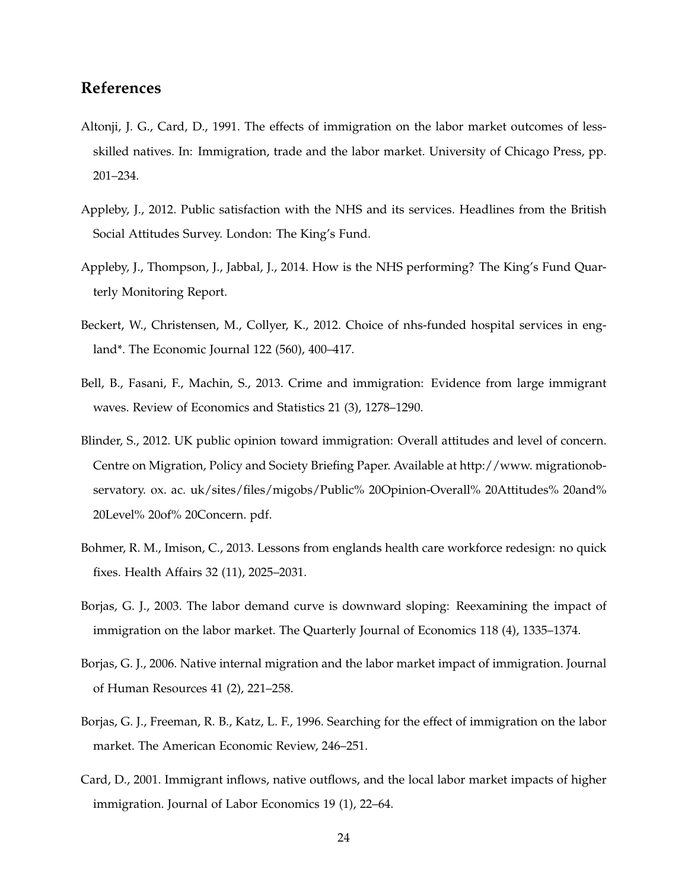## **References**

- <span id="page-23-7"></span>Altonji, J. G., Card, D., 1991. The effects of immigration on the labor market outcomes of lessskilled natives. In: Immigration, trade and the labor market. University of Chicago Press, pp. 201–234.
- <span id="page-23-2"></span>Appleby, J., 2012. Public satisfaction with the NHS and its services. Headlines from the British Social Attitudes Survey. London: The King's Fund.
- <span id="page-23-4"></span>Appleby, J., Thompson, J., Jabbal, J., 2014. How is the NHS performing? The King's Fund Quarterly Monitoring Report.
- <span id="page-23-3"></span>Beckert, W., Christensen, M., Collyer, K., 2012. Choice of nhs-funded hospital services in england\*. The Economic Journal 122 (560), 400–417.
- <span id="page-23-1"></span>Bell, B., Fasani, F., Machin, S., 2013. Crime and immigration: Evidence from large immigrant waves. Review of Economics and Statistics 21 (3), 1278–1290.
- <span id="page-23-0"></span>Blinder, S., 2012. UK public opinion toward immigration: Overall attitudes and level of concern. Centre on Migration, Policy and Society Briefing Paper. Available at http://www. migrationobservatory. ox. ac. uk/sites/files/migobs/Public% 20Opinion-Overall% 20Attitudes% 20and% 20Level% 20of% 20Concern. pdf.
- <span id="page-23-9"></span>Bohmer, R. M., Imison, C., 2013. Lessons from englands health care workforce redesign: no quick fixes. Health Affairs 32 (11), 2025–2031.
- <span id="page-23-6"></span>Borjas, G. J., 2003. The labor demand curve is downward sloping: Reexamining the impact of immigration on the labor market. The Quarterly Journal of Economics 118 (4), 1335–1374.
- <span id="page-23-10"></span>Borjas, G. J., 2006. Native internal migration and the labor market impact of immigration. Journal of Human Resources 41 (2), 221–258.
- <span id="page-23-5"></span>Borjas, G. J., Freeman, R. B., Katz, L. F., 1996. Searching for the effect of immigration on the labor market. The American Economic Review, 246–251.
- <span id="page-23-8"></span>Card, D., 2001. Immigrant inflows, native outflows, and the local labor market impacts of higher immigration. Journal of Labor Economics 19 (1), 22–64.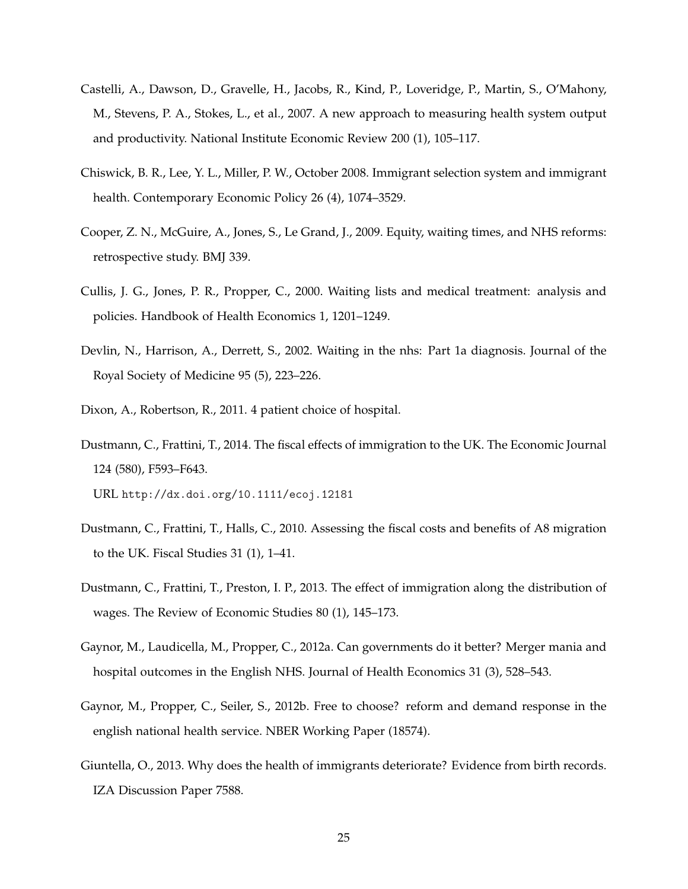- <span id="page-24-3"></span>Castelli, A., Dawson, D., Gravelle, H., Jacobs, R., Kind, P., Loveridge, P., Martin, S., O'Mahony, M., Stevens, P. A., Stokes, L., et al., 2007. A new approach to measuring health system output and productivity. National Institute Economic Review 200 (1), 105–117.
- <span id="page-24-11"></span>Chiswick, B. R., Lee, Y. L., Miller, P. W., October 2008. Immigrant selection system and immigrant health. Contemporary Economic Policy 26 (4), 1074–3529.
- <span id="page-24-6"></span>Cooper, Z. N., McGuire, A., Jones, S., Le Grand, J., 2009. Equity, waiting times, and NHS reforms: retrospective study. BMJ 339.
- <span id="page-24-5"></span>Cullis, J. G., Jones, P. R., Propper, C., 2000. Waiting lists and medical treatment: analysis and policies. Handbook of Health Economics 1, 1201–1249.
- <span id="page-24-10"></span>Devlin, N., Harrison, A., Derrett, S., 2002. Waiting in the nhs: Part 1a diagnosis. Journal of the Royal Society of Medicine 95 (5), 223–226.
- <span id="page-24-8"></span>Dixon, A., Robertson, R., 2011. 4 patient choice of hospital.
- <span id="page-24-1"></span>Dustmann, C., Frattini, T., 2014. The fiscal effects of immigration to the UK. The Economic Journal 124 (580), F593–F643. URL <http://dx.doi.org/10.1111/ecoj.12181>
- <span id="page-24-0"></span>Dustmann, C., Frattini, T., Halls, C., 2010. Assessing the fiscal costs and benefits of A8 migration to the UK. Fiscal Studies 31 (1), 1–41.
- <span id="page-24-2"></span>Dustmann, C., Frattini, T., Preston, I. P., 2013. The effect of immigration along the distribution of wages. The Review of Economic Studies 80 (1), 145–173.
- <span id="page-24-4"></span>Gaynor, M., Laudicella, M., Propper, C., 2012a. Can governments do it better? Merger mania and hospital outcomes in the English NHS. Journal of Health Economics 31 (3), 528–543.
- <span id="page-24-7"></span>Gaynor, M., Propper, C., Seiler, S., 2012b. Free to choose? reform and demand response in the english national health service. NBER Working Paper (18574).
- <span id="page-24-9"></span>Giuntella, O., 2013. Why does the health of immigrants deteriorate? Evidence from birth records. IZA Discussion Paper 7588.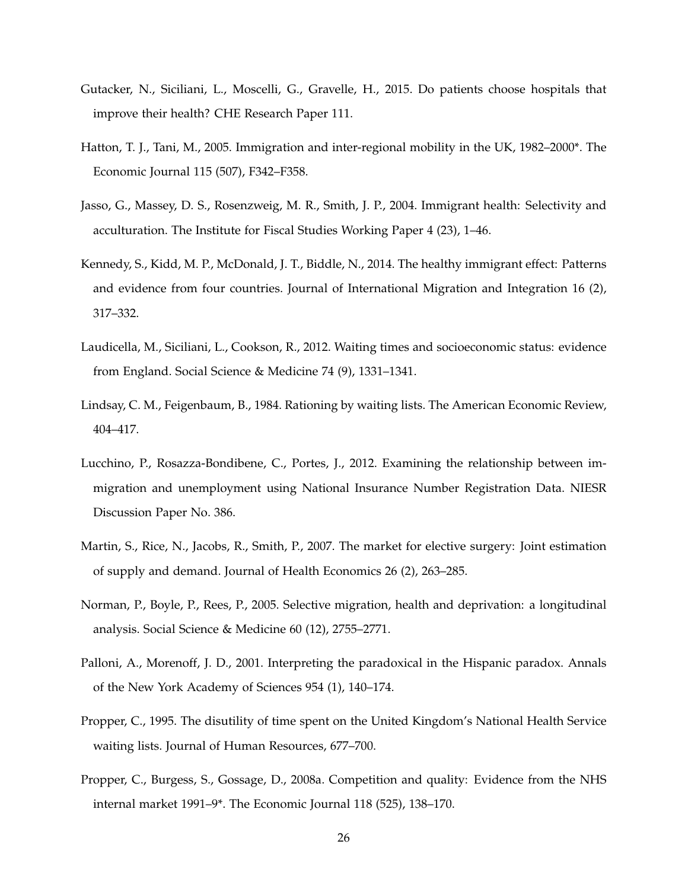- <span id="page-25-5"></span>Gutacker, N., Siciliani, L., Moscelli, G., Gravelle, H., 2015. Do patients choose hospitals that improve their health? CHE Research Paper 111.
- <span id="page-25-7"></span>Hatton, T. J., Tani, M., 2005. Immigration and inter-regional mobility in the UK, 1982–2000\*. The Economic Journal 115 (507), F342–F358.
- <span id="page-25-9"></span>Jasso, G., Massey, D. S., Rosenzweig, M. R., Smith, J. P., 2004. Immigrant health: Selectivity and acculturation. The Institute for Fiscal Studies Working Paper 4 (23), 1–46.
- <span id="page-25-6"></span>Kennedy, S., Kidd, M. P., McDonald, J. T., Biddle, N., 2014. The healthy immigrant effect: Patterns and evidence from four countries. Journal of International Migration and Integration 16 (2), 317–332.
- <span id="page-25-3"></span>Laudicella, M., Siciliani, L., Cookson, R., 2012. Waiting times and socioeconomic status: evidence from England. Social Science & Medicine 74 (9), 1331–1341.
- <span id="page-25-1"></span>Lindsay, C. M., Feigenbaum, B., 1984. Rationing by waiting lists. The American Economic Review, 404–417.
- <span id="page-25-11"></span>Lucchino, P., Rosazza-Bondibene, C., Portes, J., 2012. Examining the relationship between immigration and unemployment using National Insurance Number Registration Data. NIESR Discussion Paper No. 386.
- <span id="page-25-4"></span>Martin, S., Rice, N., Jacobs, R., Smith, P., 2007. The market for elective surgery: Joint estimation of supply and demand. Journal of Health Economics 26 (2), 263–285.
- <span id="page-25-10"></span>Norman, P., Boyle, P., Rees, P., 2005. Selective migration, health and deprivation: a longitudinal analysis. Social Science & Medicine 60 (12), 2755–2771.
- <span id="page-25-8"></span>Palloni, A., Morenoff, J. D., 2001. Interpreting the paradoxical in the Hispanic paradox. Annals of the New York Academy of Sciences 954 (1), 140–174.
- <span id="page-25-2"></span>Propper, C., 1995. The disutility of time spent on the United Kingdom's National Health Service waiting lists. Journal of Human Resources, 677–700.
- <span id="page-25-0"></span>Propper, C., Burgess, S., Gossage, D., 2008a. Competition and quality: Evidence from the NHS internal market 1991–9\*. The Economic Journal 118 (525), 138–170.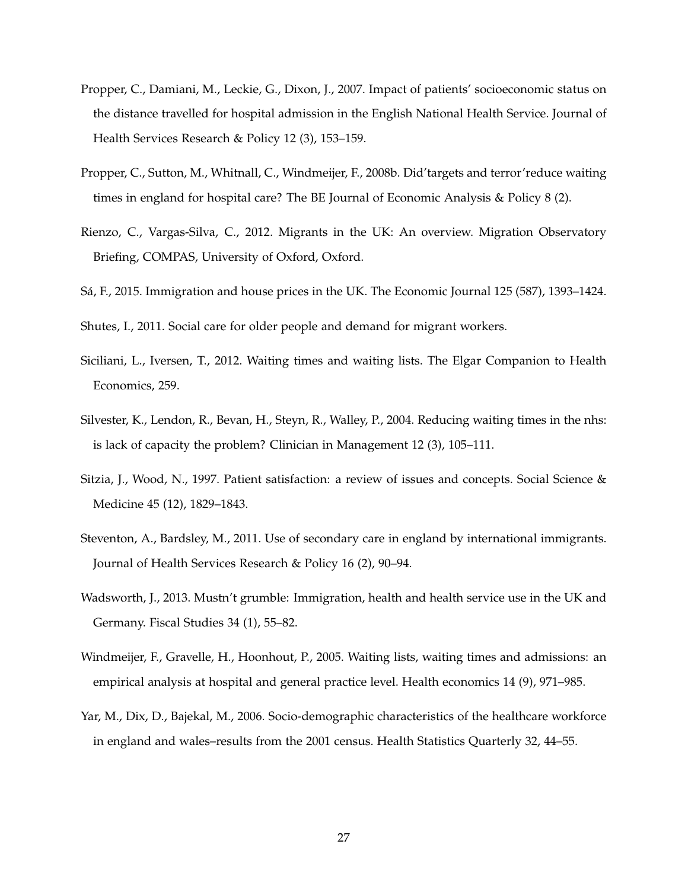- <span id="page-26-6"></span>Propper, C., Damiani, M., Leckie, G., Dixon, J., 2007. Impact of patients' socioeconomic status on the distance travelled for hospital admission in the English National Health Service. Journal of Health Services Research & Policy 12 (3), 153–159.
- <span id="page-26-8"></span>Propper, C., Sutton, M., Whitnall, C., Windmeijer, F., 2008b. Did'targets and terror'reduce waiting times in england for hospital care? The BE Journal of Economic Analysis & Policy 8 (2).
- <span id="page-26-5"></span>Rienzo, C., Vargas-Silva, C., 2012. Migrants in the UK: An overview. Migration Observatory Briefing, COMPAS, University of Oxford, Oxford.
- <span id="page-26-0"></span>Sá, F., 2015. Immigration and house prices in the UK. The Economic Journal 125 (587), 1393–1424.

<span id="page-26-10"></span>Shutes, I., 2011. Social care for older people and demand for migrant workers.

- <span id="page-26-4"></span>Siciliani, L., Iversen, T., 2012. Waiting times and waiting lists. The Elgar Companion to Health Economics, 259.
- <span id="page-26-11"></span>Silvester, K., Lendon, R., Bevan, H., Steyn, R., Walley, P., 2004. Reducing waiting times in the nhs: is lack of capacity the problem? Clinician in Management 12 (3), 105–111.
- <span id="page-26-3"></span>Sitzia, J., Wood, N., 1997. Patient satisfaction: a review of issues and concepts. Social Science & Medicine 45 (12), 1829–1843.
- <span id="page-26-2"></span>Steventon, A., Bardsley, M., 2011. Use of secondary care in england by international immigrants. Journal of Health Services Research & Policy 16 (2), 90–94.
- <span id="page-26-1"></span>Wadsworth, J., 2013. Mustn't grumble: Immigration, health and health service use in the UK and Germany. Fiscal Studies 34 (1), 55–82.
- <span id="page-26-7"></span>Windmeijer, F., Gravelle, H., Hoonhout, P., 2005. Waiting lists, waiting times and admissions: an empirical analysis at hospital and general practice level. Health economics 14 (9), 971–985.
- <span id="page-26-9"></span>Yar, M., Dix, D., Bajekal, M., 2006. Socio-demographic characteristics of the healthcare workforce in england and wales–results from the 2001 census. Health Statistics Quarterly 32, 44–55.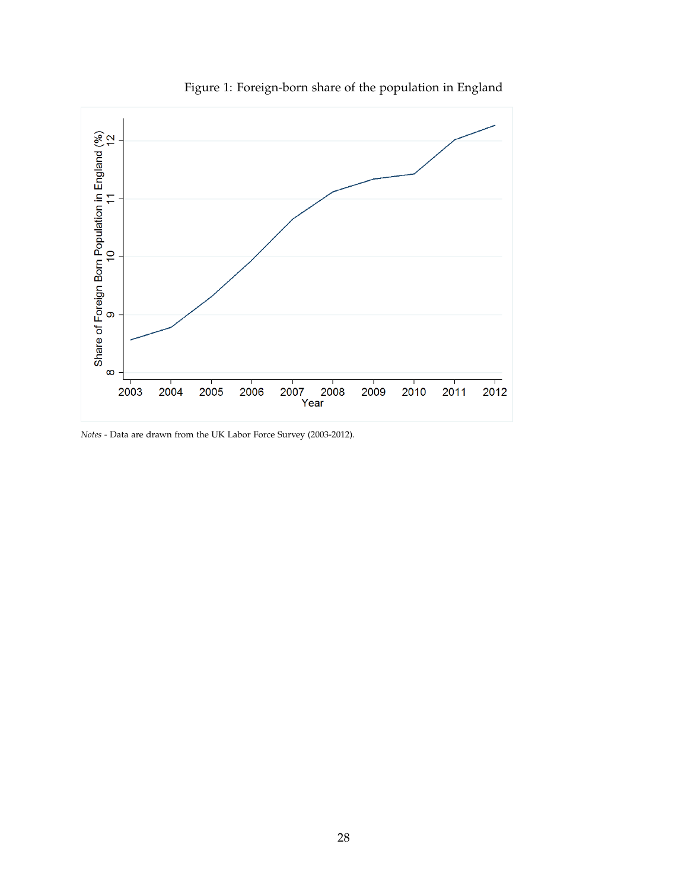

Figure 1: Foreign-born share of the population in England

*Notes -* Data are drawn from the UK Labor Force Survey (2003-2012).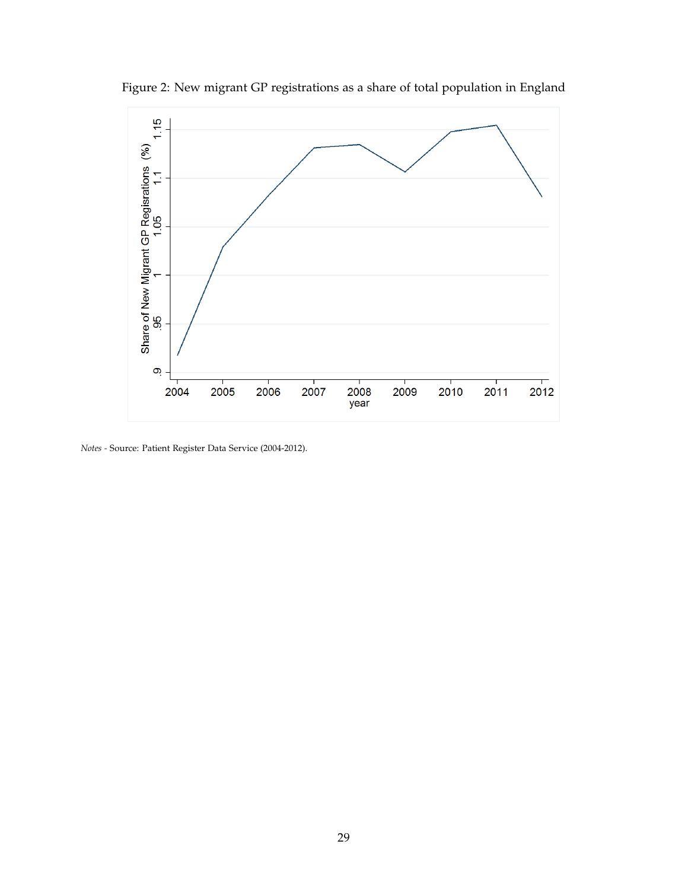

Figure 2: New migrant GP registrations as a share of total population in England

*Notes -* Source: Patient Register Data Service (2004-2012).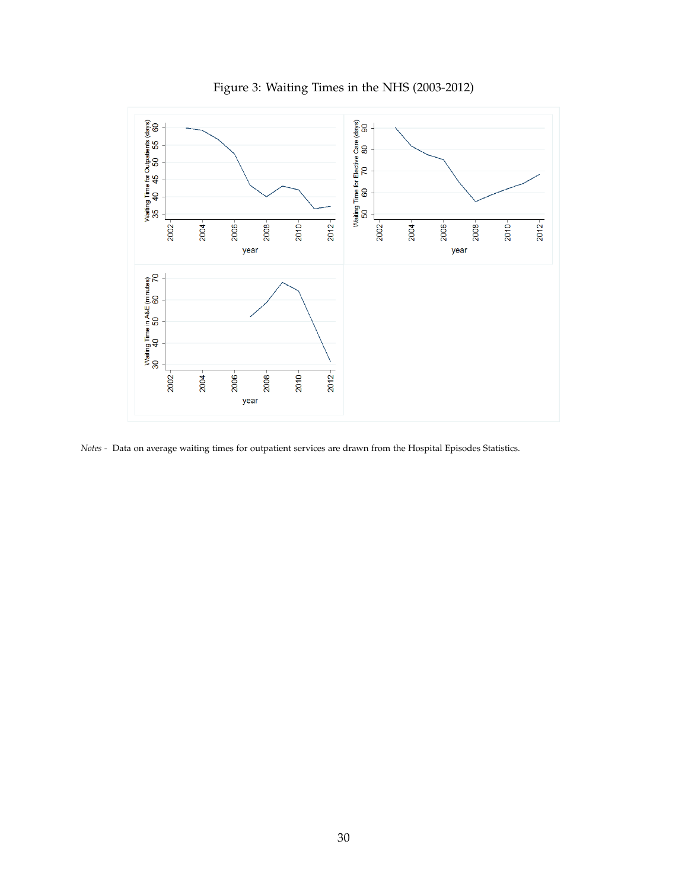<span id="page-29-0"></span>

Figure 3: Waiting Times in the NHS (2003-2012)

*Notes -* Data on average waiting times for outpatient services are drawn from the Hospital Episodes Statistics.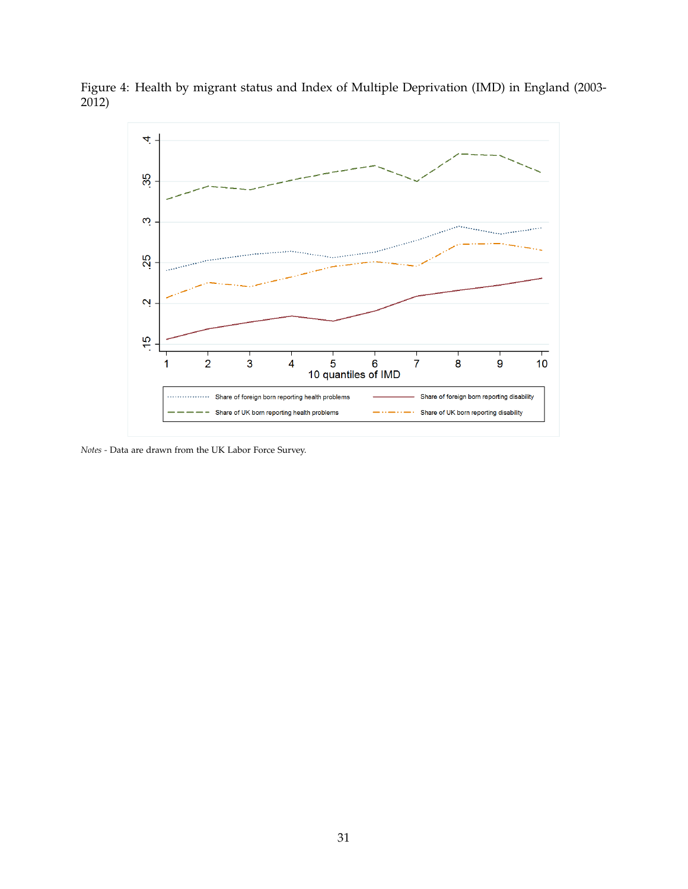

<span id="page-30-0"></span>Figure 4: Health by migrant status and Index of Multiple Deprivation (IMD) in England (2003- 2012)

*Notes -* Data are drawn from the UK Labor Force Survey.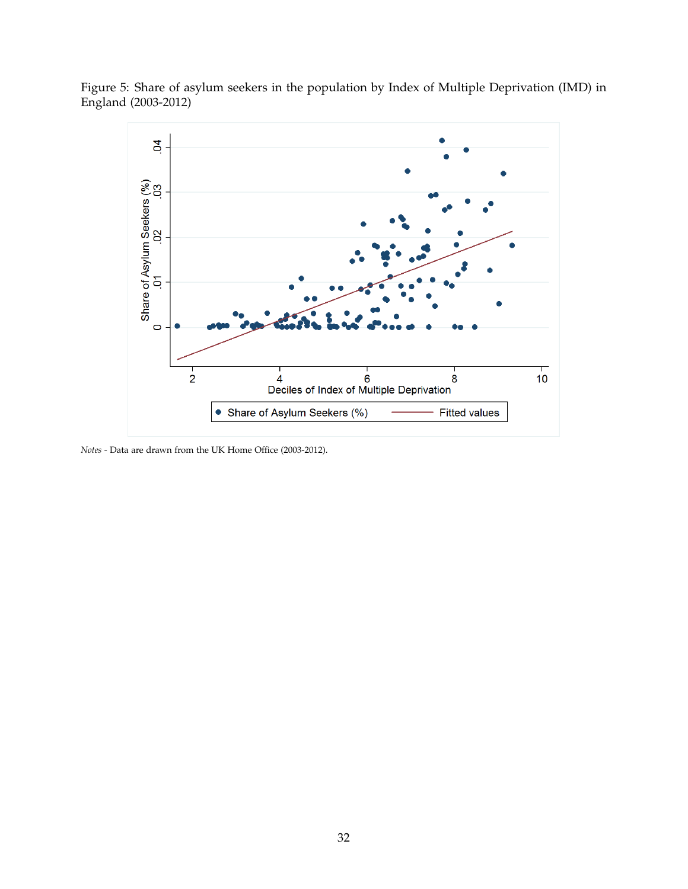<span id="page-31-0"></span>Figure 5: Share of asylum seekers in the population by Index of Multiple Deprivation (IMD) in England (2003-2012)



*Notes -* Data are drawn from the UK Home Office (2003-2012).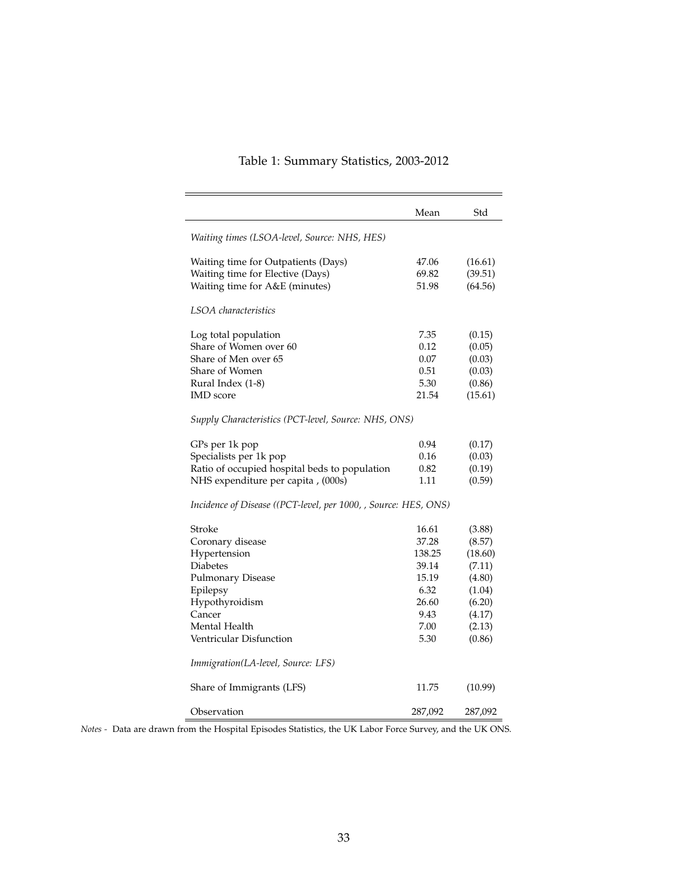# Table 1: Summary Statistics, 2003-2012

<span id="page-32-0"></span>

|                                                                                                                                                                                                                     | Mean                                                                                | Std                                                                                               |
|---------------------------------------------------------------------------------------------------------------------------------------------------------------------------------------------------------------------|-------------------------------------------------------------------------------------|---------------------------------------------------------------------------------------------------|
| Waiting times (LSOA-level, Source: NHS, HES)                                                                                                                                                                        |                                                                                     |                                                                                                   |
| Waiting time for Outpatients (Days)<br>Waiting time for Elective (Days)<br>Waiting time for A&E (minutes)                                                                                                           | 47.06<br>69.82<br>51.98                                                             | (16.61)<br>(39.51)<br>(64.56)                                                                     |
| LSOA characteristics                                                                                                                                                                                                |                                                                                     |                                                                                                   |
|                                                                                                                                                                                                                     |                                                                                     |                                                                                                   |
| Log total population<br>Share of Women over 60<br>Share of Men over 65<br>Share of Women<br>Rural Index (1-8)<br><b>IMD</b> score                                                                                   | 7.35<br>0.12<br>0.07<br>0.51<br>5.30<br>21.54                                       | (0.15)<br>(0.05)<br>(0.03)<br>(0.03)<br>(0.86)<br>(15.61)                                         |
| Supply Characteristics (PCT-level, Source: NHS, ONS)                                                                                                                                                                |                                                                                     |                                                                                                   |
| GPs per 1k pop<br>Specialists per 1k pop<br>Ratio of occupied hospital beds to population<br>NHS expenditure per capita , (000s)                                                                                    | 0.94<br>0.16<br>0.82<br>1.11                                                        | (0.17)<br>(0.03)<br>(0.19)<br>(0.59)                                                              |
| Incidence of Disease ((PCT-level, per 1000, , Source: HES, ONS)                                                                                                                                                     |                                                                                     |                                                                                                   |
| Stroke<br>Coronary disease<br>Hypertension<br><b>Diabetes</b><br>Pulmonary Disease<br>Epilepsy<br>Hypothyroidism<br>Cancer<br>Mental Health<br><b>Ventricular Disfunction</b><br>Immigration(LA-level, Source: LFS) | 16.61<br>37.28<br>138.25<br>39.14<br>15.19<br>6.32<br>26.60<br>9.43<br>7.00<br>5.30 | (3.88)<br>(8.57)<br>(18.60)<br>(7.11)<br>(4.80)<br>(1.04)<br>(6.20)<br>(4.17)<br>(2.13)<br>(0.86) |
| Share of Immigrants (LFS)                                                                                                                                                                                           | 11.75                                                                               | (10.99)                                                                                           |
| Observation                                                                                                                                                                                                         | 287,092                                                                             | 287,092                                                                                           |

*Notes -* Data are drawn from the Hospital Episodes Statistics, the UK Labor Force Survey, and the UK ONS.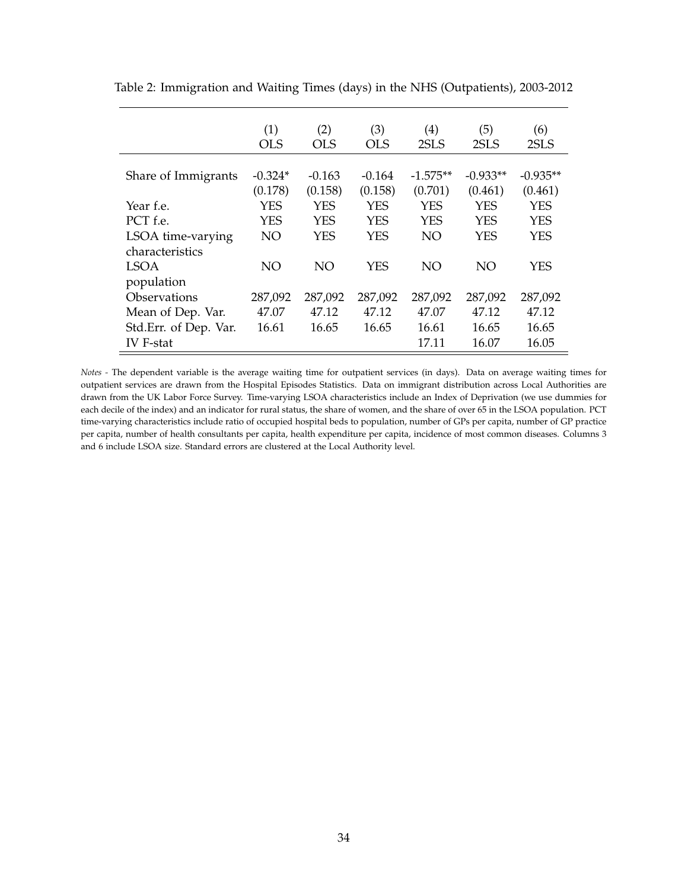|                       | (1)<br><b>OLS</b> | (2)<br><b>OLS</b> | (3)<br><b>OLS</b> | $\left( 4\right)$<br>2SLS | (5)<br>2SLS | (6)<br>2SLS |
|-----------------------|-------------------|-------------------|-------------------|---------------------------|-------------|-------------|
|                       |                   |                   |                   |                           |             |             |
| Share of Immigrants   | $-0.324*$         | $-0.163$          | $-0.164$          | $-1.575**$                | $-0.933**$  | $-0.935**$  |
|                       | (0.178)           | (0.158)           | (0.158)           | (0.701)                   | (0.461)     | (0.461)     |
| Year f.e.             | YES               | <b>YES</b>        | <b>YES</b>        | <b>YES</b>                | YES         | <b>YES</b>  |
| PCT f.e.              | YES               | YES               | <b>YES</b>        | <b>YES</b>                | YES         | <b>YES</b>  |
| LSOA time-varying     | NO                | YES               | <b>YES</b>        | NO                        | YES         | <b>YES</b>  |
| characteristics       |                   |                   |                   |                           |             |             |
| <b>LSOA</b>           | NO                | NO                | <b>YES</b>        | NO                        | NO          | YES         |
| population            |                   |                   |                   |                           |             |             |
| Observations          | 287,092           | 287,092           | 287,092           | 287,092                   | 287,092     | 287,092     |
| Mean of Dep. Var.     | 47.07             | 47.12             | 47.12             | 47.07                     | 47.12       | 47.12       |
| Std.Err. of Dep. Var. | 16.61             | 16.65             | 16.65             | 16.61                     | 16.65       | 16.65       |
| <b>IV</b> F-stat      |                   |                   |                   | 17.11                     | 16.07       | 16.05       |

<span id="page-33-0"></span>Table 2: Immigration and Waiting Times (days) in the NHS (Outpatients), 2003-2012

*Notes -* The dependent variable is the average waiting time for outpatient services (in days). Data on average waiting times for outpatient services are drawn from the Hospital Episodes Statistics. Data on immigrant distribution across Local Authorities are drawn from the UK Labor Force Survey. Time-varying LSOA characteristics include an Index of Deprivation (we use dummies for each decile of the index) and an indicator for rural status, the share of women, and the share of over 65 in the LSOA population. PCT time-varying characteristics include ratio of occupied hospital beds to population, number of GPs per capita, number of GP practice per capita, number of health consultants per capita, health expenditure per capita, incidence of most common diseases. Columns 3 and 6 include LSOA size. Standard errors are clustered at the Local Authority level.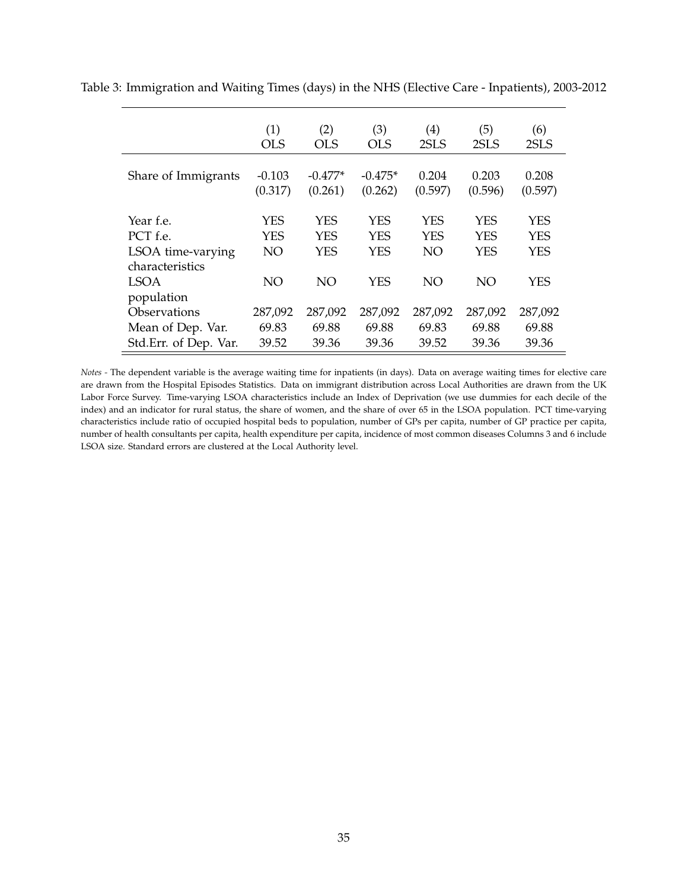|                                                               | (1)<br><b>OLS</b>       | (2)<br><b>OLS</b>                      | (3)<br><b>OLS</b>                      | (4)<br>2SLS                    | (5)<br>2SLS                     | (6)<br>2SLS              |
|---------------------------------------------------------------|-------------------------|----------------------------------------|----------------------------------------|--------------------------------|---------------------------------|--------------------------|
| Share of Immigrants                                           | $-0.103$<br>(0.317)     | $-0.477*$<br>(0.261)                   | $-0.475*$<br>(0.262)                   | 0.204<br>(0.597)               | 0.203<br>(0.596)                | 0.208<br>(0.597)         |
| Year f.e.<br>PCT f.e.<br>LSOA time-varying<br>characteristics | <b>YES</b><br>YES<br>NO | <b>YES</b><br><b>YES</b><br><b>YES</b> | <b>YES</b><br><b>YES</b><br><b>YES</b> | <b>YES</b><br><b>YES</b><br>NO | <b>YES</b><br>YES<br><b>YES</b> | YES<br>YES<br><b>YES</b> |
| <b>LSOA</b><br>population                                     | NO                      | NO                                     | <b>YES</b>                             | NO                             | NO                              | <b>YES</b>               |
| <b>Observations</b>                                           | 287,092                 | 287,092                                | 287,092                                | 287,092                        | 287,092                         | 287,092                  |
| Mean of Dep. Var.                                             | 69.83                   | 69.88                                  | 69.88                                  | 69.83                          | 69.88                           | 69.88                    |
| Std.Err. of Dep. Var.                                         | 39.52                   | 39.36                                  | 39.36                                  | 39.52                          | 39.36                           | 39.36                    |

<span id="page-34-0"></span>Table 3: Immigration and Waiting Times (days) in the NHS (Elective Care - Inpatients), 2003-2012

*Notes -* The dependent variable is the average waiting time for inpatients (in days). Data on average waiting times for elective care are drawn from the Hospital Episodes Statistics. Data on immigrant distribution across Local Authorities are drawn from the UK Labor Force Survey. Time-varying LSOA characteristics include an Index of Deprivation (we use dummies for each decile of the index) and an indicator for rural status, the share of women, and the share of over 65 in the LSOA population. PCT time-varying characteristics include ratio of occupied hospital beds to population, number of GPs per capita, number of GP practice per capita, number of health consultants per capita, health expenditure per capita, incidence of most common diseases Columns 3 and 6 include LSOA size. Standard errors are clustered at the Local Authority level.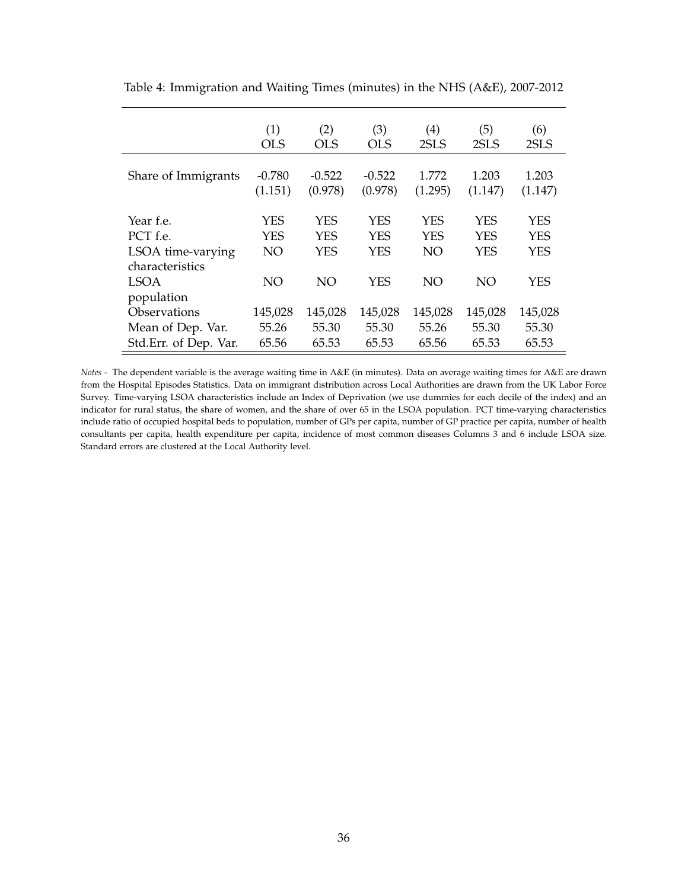|                                                               | (1)              | (2)                             | (3)                                    | (4)                                   | (5)                      | (6)                      |
|---------------------------------------------------------------|------------------|---------------------------------|----------------------------------------|---------------------------------------|--------------------------|--------------------------|
|                                                               | <b>OLS</b>       | <b>OLS</b>                      | <b>OLS</b>                             | 2SLS                                  | 2SLS                     | 2SLS                     |
| Share of Immigrants                                           | $-0.780$         | $-0.522$                        | $-0.522$                               | 1.772                                 | 1.203                    | 1.203                    |
|                                                               | (1.151)          | (0.978)                         | (0.978)                                | (1.295)                               | (1.147)                  | (1.147)                  |
| Year f.e.<br>PCT f.e.<br>LSOA time-varying<br>characteristics | YES<br>YES<br>NO | YES<br><b>YES</b><br><b>YES</b> | <b>YES</b><br><b>YES</b><br><b>YES</b> | <b>YES</b><br><b>YES</b><br><b>NO</b> | YES<br>YES<br><b>YES</b> | YES<br>YES<br><b>YES</b> |
| <b>LSOA</b><br>population                                     | NO               | NO                              | <b>YES</b>                             | NO                                    | NO                       | <b>YES</b>               |
| Observations                                                  | 145,028          | 145,028                         | 145,028                                | 145,028                               | 145,028                  | 145,028                  |
| Mean of Dep. Var.                                             | 55.26            | 55.30                           | 55.30                                  | 55.26                                 | 55.30                    | 55.30                    |
| Std.Err. of Dep. Var.                                         | 65.56            | 65.53                           | 65.53                                  | 65.56                                 | 65.53                    | 65.53                    |

<span id="page-35-0"></span>Table 4: Immigration and Waiting Times (minutes) in the NHS (A&E), 2007-2012

*Notes -* The dependent variable is the average waiting time in A&E (in minutes). Data on average waiting times for A&E are drawn from the Hospital Episodes Statistics. Data on immigrant distribution across Local Authorities are drawn from the UK Labor Force Survey. Time-varying LSOA characteristics include an Index of Deprivation (we use dummies for each decile of the index) and an indicator for rural status, the share of women, and the share of over 65 in the LSOA population. PCT time-varying characteristics include ratio of occupied hospital beds to population, number of GPs per capita, number of GP practice per capita, number of health consultants per capita, health expenditure per capita, incidence of most common diseases Columns 3 and 6 include LSOA size. Standard errors are clustered at the Local Authority level.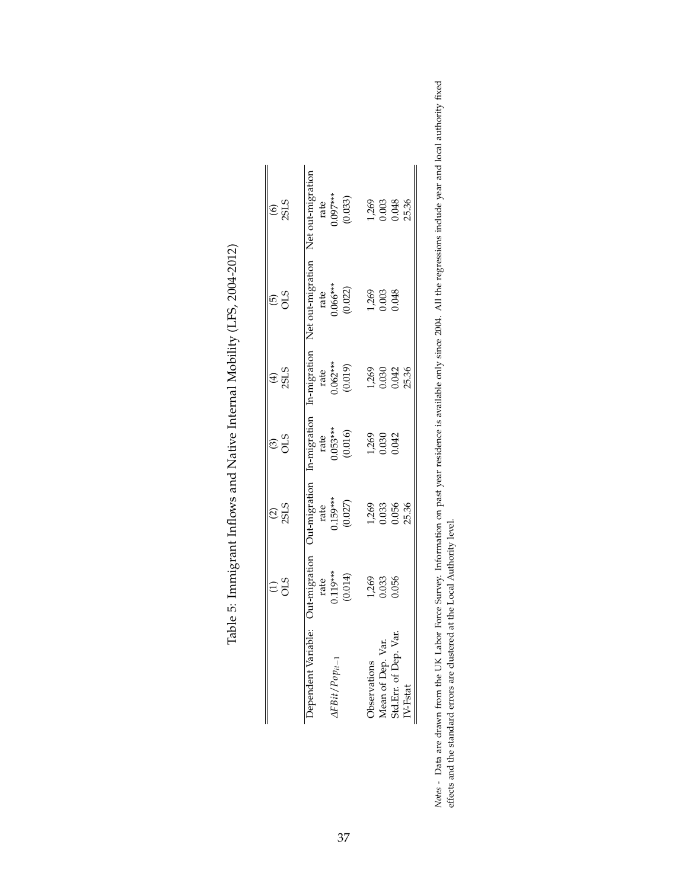<span id="page-36-0"></span>

|                     | $\approx$                                   | $\frac{2}{35}$                                   | $\frac{3}{2}$                                    | $(4)$<br>2513                                   | $rac{6}{20}$                                         | $rac{6}{255}$                                                            |
|---------------------|---------------------------------------------|--------------------------------------------------|--------------------------------------------------|-------------------------------------------------|------------------------------------------------------|--------------------------------------------------------------------------|
| Jependent Variable: | Jut-migration<br>rate<br>0.19***<br>(0.014) | Jut-migration<br>rate<br>$0.159***$<br>$(0.027)$ | In-migration<br>rate<br>$) .053***$<br>$(0.016)$ | In-migration<br>rate<br>$0.062***$<br>$(0.019)$ | Net out-migration<br>rate<br>$0.06$ ***<br>$(0.022)$ | Net out-migrat                                                           |
|                     | 1,269<br>0.033<br>0.056                     | 1,269<br>0.033<br>25.36                          | 1,269<br>0.030<br>0.042                          | $\frac{269}{1000}$<br>0.030<br>25.36            | 1,269<br>0.003<br>0.048                              | rate<br>1.097***<br>(0.033)<br>1.269<br>1.269<br>0.003<br>0.048<br>25.36 |

| J<br>$\frac{1}{2}$<br>1<br>l<br>)<br> <br>                                                    |
|-----------------------------------------------------------------------------------------------|
| :<br>ı<br>I<br>l                                                                              |
| $\frac{1}{2}$                                                                                 |
| $\vdots$<br>֚֚֚֚֚֚֚֡֡֡֡֡֡<br>֖֖֖֧ׅׅ֧ׅ֧ׅ֧֧ׅ֖֧֚֚֚֚֚֚֚֚֚֚֚֚֚֚֚֚֚֚֚֚֚֚֚֚֚֚֚֚֚֚֚֚֡֝֝֬֝֬֝֬֓֞֝֬<br>١ |
| ı<br>.<br>F                                                                                   |

Notes - Data are drawn from the UK Labor Force Survey. Information on past year residence is available only since 2004. All the regressions include year and local authority fixed<br>effects and the standard errors are cluster *Notes -* Data are drawn from the UK Labor Force Survey. Information on past year residence is available only since 2004. All the regressions include year and local authority fixed effects and the standard errors are clustered at the Local Authority level.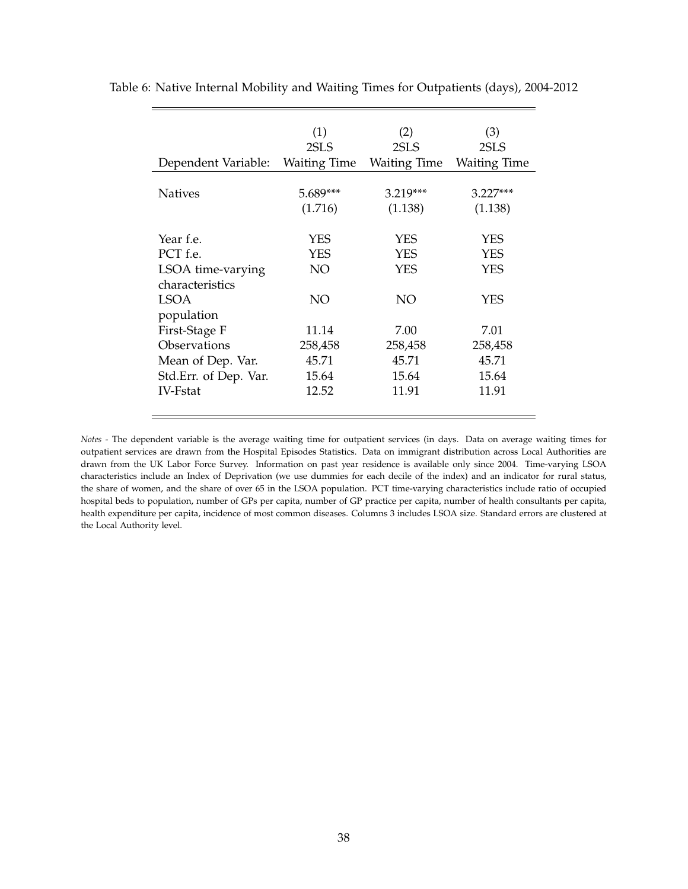|                       | (1)<br>2SLS         | (2)<br>2SLS           | (3)<br>2SLS           |
|-----------------------|---------------------|-----------------------|-----------------------|
| Dependent Variable:   | <b>Waiting Time</b> | <b>Waiting Time</b>   | <b>Waiting Time</b>   |
| <b>Natives</b>        | 5.689***<br>(1.716) | $3.219***$<br>(1.138) | $3.227***$<br>(1.138) |
| Year f.e.             | YES                 | <b>YES</b>            | YES                   |
| PCT f.e.              | YES                 | <b>YES</b>            | YES                   |
| LSOA time-varying     | NO                  | <b>YES</b>            | YES                   |
| characteristics       |                     |                       |                       |
| LSOA                  | NO                  | NO                    | YES                   |
| population            |                     |                       |                       |
| First-Stage F         | 11.14               | 7.00                  | 7.01                  |
| Observations          | 258,458             | 258,458               | 258,458               |
| Mean of Dep. Var.     | 45.71               | 45.71                 | 45.71                 |
| Std.Err. of Dep. Var. | 15.64               | 15.64                 | 15.64                 |
| <b>IV-Fstat</b>       | 12.52               | 11.91                 | 11.91                 |

<span id="page-37-0"></span>Table 6: Native Internal Mobility and Waiting Times for Outpatients (days), 2004-2012

*Notes -* The dependent variable is the average waiting time for outpatient services (in days. Data on average waiting times for outpatient services are drawn from the Hospital Episodes Statistics. Data on immigrant distribution across Local Authorities are drawn from the UK Labor Force Survey. Information on past year residence is available only since 2004. Time-varying LSOA characteristics include an Index of Deprivation (we use dummies for each decile of the index) and an indicator for rural status, the share of women, and the share of over 65 in the LSOA population. PCT time-varying characteristics include ratio of occupied hospital beds to population, number of GPs per capita, number of GP practice per capita, number of health consultants per capita, health expenditure per capita, incidence of most common diseases. Columns 3 includes LSOA size. Standard errors are clustered at the Local Authority level.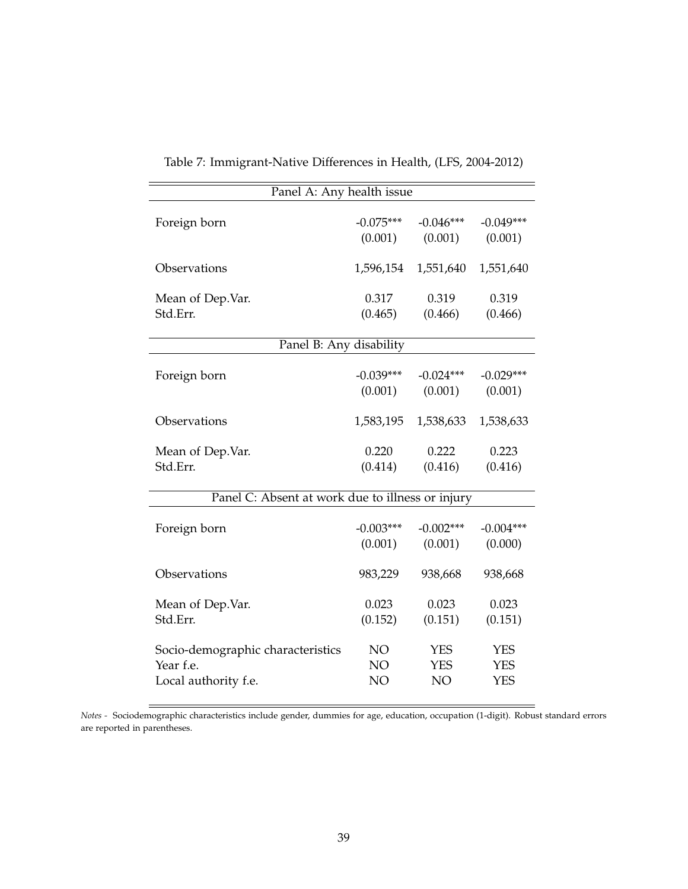<span id="page-38-0"></span>

| Panel A: Any health issue                        |                 |             |             |  |
|--------------------------------------------------|-----------------|-------------|-------------|--|
| Foreign born                                     | $-0.075***$     | $-0.046***$ | $-0.049***$ |  |
|                                                  | (0.001)         | (0.001)     | (0.001)     |  |
| Observations                                     | 1,596,154       | 1,551,640   | 1,551,640   |  |
| Mean of Dep.Var.                                 | 0.317           | 0.319       | 0.319       |  |
| Std.Err.                                         | (0.465)         | (0.466)     | (0.466)     |  |
| Panel B: Any disability                          |                 |             |             |  |
| Foreign born                                     | $-0.039***$     | $-0.024***$ | $-0.029***$ |  |
|                                                  | (0.001)         | (0.001)     | (0.001)     |  |
| Observations                                     | 1,583,195       | 1,538,633   | 1,538,633   |  |
| Mean of Dep.Var.                                 | 0.220           | 0.222       | 0.223       |  |
| Std.Err.                                         | (0.414)         | (0.416)     | (0.416)     |  |
| Panel C: Absent at work due to illness or injury |                 |             |             |  |
| Foreign born                                     | $-0.003***$     | $-0.002***$ | $-0.004***$ |  |
|                                                  | (0.001)         | (0.001)     | (0.000)     |  |
| Observations                                     | 983,229         | 938,668     | 938,668     |  |
| Mean of Dep.Var.                                 | 0.023           | 0.023       | 0.023       |  |
| Std.Err.                                         | (0.152)         | (0.151)     | (0.151)     |  |
| Socio-demographic characteristics                | NO.             | <b>YES</b>  | <b>YES</b>  |  |
| Year f.e.                                        | NO <sub>1</sub> | <b>YES</b>  | <b>YES</b>  |  |
| Local authority f.e.                             | NO              | NO          | <b>YES</b>  |  |

Table 7: Immigrant-Native Differences in Health, (LFS, 2004-2012)

*Notes -* Sociodemographic characteristics include gender, dummies for age, education, occupation (1-digit). Robust standard errors are reported in parentheses.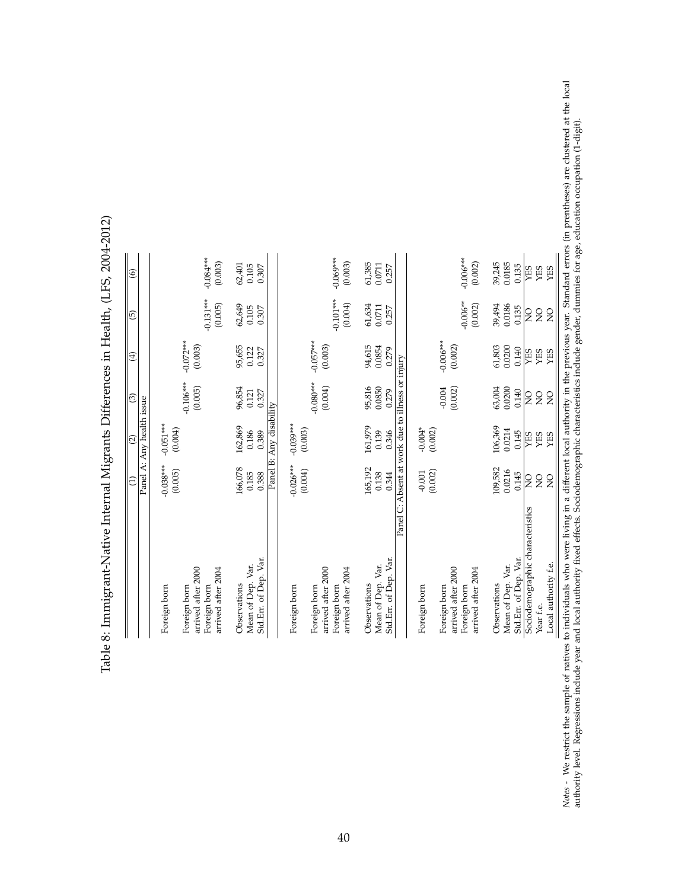|                                                                                          | E                                | Panel A: Any health issue<br>$\overline{2}$          | $\widehat{\mathcal{E}}$          | $\bigoplus$               | $\overline{5}$            | $\circledcirc$            |
|------------------------------------------------------------------------------------------|----------------------------------|------------------------------------------------------|----------------------------------|---------------------------|---------------------------|---------------------------|
| Foreign born                                                                             | $-0.038***$<br>(0.005)           | $-0.051***$<br>(0.004)                               |                                  |                           |                           |                           |
| arrived after 2000<br>arrived after 2004<br>Foreign born<br>Foreign born                 |                                  |                                                      | $-0.106***$<br>(0.005)           | $-0.072***$<br>(0.003)    | $-0.131***$<br>(0.005)    | $-0.084***$<br>(0.003)    |
| Std.Err. of Dep. Var.<br>Mean of Dep. Var.<br>Observations                               | 166,078<br>0.185<br>0.388        | Panel B: Any disability<br>162,869<br>0.186<br>0.389 | 96,854<br>0.327<br>0.121         | 95,655<br>0.122<br>0.327  | 62,649<br>0.105<br>0.307  | 62,401<br>0.105<br>0.307  |
| Foreign born                                                                             | $-0.026***$                      | $-0.039***$                                          |                                  |                           |                           |                           |
| arrived after 2000<br>arrived after 2004<br>Foreign born<br>Foreign born                 | (0.004)                          | (0.003)                                              | $-0.080**$<br>(0.004)            | $-0.057***$<br>(0.003)    | $-0.101***$<br>(0.004)    | $-0.069***$<br>(0.003)    |
| Std.Err. of Dep. Var.<br>Mean of Dep. Var.<br>Observations                               | 165,192<br>0.138<br>0.344        | 161,979<br>0.139<br>0.346                            | 95,816<br>0.0850<br>0.279        | 94,615<br>0.0854<br>0.279 | 61,634<br>0.0711<br>0.257 | 61,385<br>0.0711<br>0.257 |
|                                                                                          |                                  | Panel C: Absent at work due to illness or injury     |                                  |                           |                           |                           |
| arrived after 2000<br>arrived after 2004<br>Foreign born<br>Foreign born<br>Foreign born | (0.002)<br>$-0.001$              | $-0.004*$<br>(0.002)                                 | (0.002)<br>$-0.004$              | $-0.006***$<br>(0.002)    | $-0.006**$<br>(0.002)     | $-0.006***$<br>(0.002)    |
| Std.Err. of Dep. Var.<br>Mean of Dep. Var.<br>Observations                               | 109,582<br>0.0216<br>0.145       | 106,369<br>0.0214<br>0.145                           | 63,004<br>0.0200<br>0.140        | 61,803<br>0.0200<br>0.140 | 39,494<br>0.0186<br>0.135 | 39,245<br>0.0185<br>0.135 |
| Sociodemographic characteristics<br>Year f.e.                                            | $\overline{Q}$<br>$\overline{Q}$ | <b>TES</b><br>YES                                    | $\overline{Q}$<br>$\overline{Q}$ | <b>SHA</b><br>YES         | $\overline{Q}$<br>SN      | <b>SHA</b><br>YES         |
| Local authority f.e.                                                                     | $\overline{Q}$                   | YES                                                  | $\overline{Q}$                   | YES                       | $\overline{Q}$            | YES                       |

<span id="page-39-0"></span>Table 8: Immigrant-Native Internal Migrants Differences in Health, (LFS, 2004-2012) Table 8: Immigrant-Native Internal Migrants Differences in Health, (LFS, 2004-2012)

Notes - We restrict the sample of natives to individuals who were living in a different local authority in the previous year. Standard errors (in prentheses) are clustered at the local<br>authority level. Regressions include Notes *-* We restrict the sample of natives to individuals who were living in a different local authority in the previous year. Standard errors (in prentheses) are clustered at the local authority level. Regressions include year and local authority fixed effects. Sociodemographic characteristics include gender, dummies for age, education occupation (1-digit).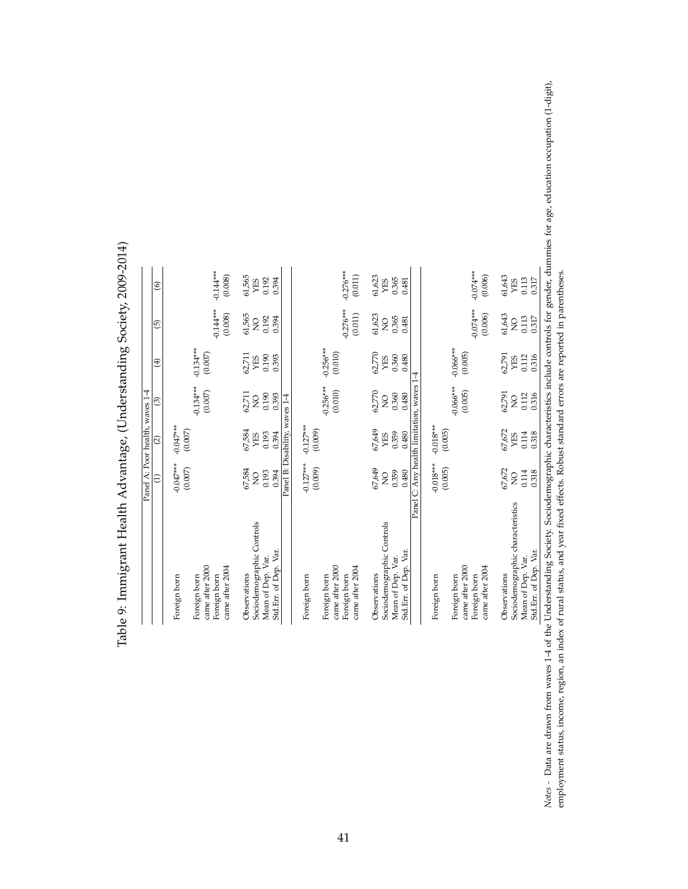|                                                       | Panel A: Poor health, waves 1-4           |                                |                         |                        |                         |                        |
|-------------------------------------------------------|-------------------------------------------|--------------------------------|-------------------------|------------------------|-------------------------|------------------------|
|                                                       | â                                         | $\widehat{c}$                  | ම                       | $\widehat{E}$          | $\widehat{5}$           | $\circledcirc$         |
| Foreign born                                          | $-0.047***$<br>(0.007)                    | $-0.047***$<br>(0.007)         |                         |                        |                         |                        |
| came after 2000<br>Foreign born                       |                                           |                                | $-0.134***$<br>(0.007)  | $-0.134***$<br>(0.007) |                         |                        |
| came after 2004<br>Foreign born                       |                                           |                                |                         |                        | $-0.144***$<br>(0.008)  | $-0.144***$<br>(0.008) |
| Observations                                          | 67,584                                    | 67,584                         | 62,711                  | 62,711                 | 61,565                  | 61,565                 |
| Sociodemographic Controls                             | $\overline{Q}$                            | YES                            | $\overline{Q}$          | YES                    | $\overline{Q}$          | YES                    |
| Std.Err. of Dep. Var.<br>Mean of Dep. Var.            | 0.193<br>0.394                            | 0.193<br>0.394                 | 0.190<br>0.393          | 0.190<br>0.393         | 0.192<br>0.394          | 0.192<br>0.394         |
|                                                       |                                           | Panel B: Disability, waves 1-4 |                         |                        |                         |                        |
| Foreign born                                          | $-0.127***$                               | $-0.127***$                    |                         |                        |                         |                        |
|                                                       | (0.009)                                   | (0.009)                        |                         |                        |                         |                        |
| came after 2000<br>Foreign born                       |                                           |                                | $-0.256***$<br>(0.010)  | $-0.256***$<br>(0.010) |                         |                        |
| Foreign born                                          |                                           |                                |                         |                        | $-0.276***$             | $-0.276***$            |
| came after 2004                                       |                                           |                                |                         |                        | (0.011)                 | (0.011)                |
| Observations                                          | 67,649                                    | 67,649                         | 62,770                  | 62,770                 | 61,623                  | 61,623                 |
| Sociodemographic Controls                             | $\frac{1}{2}$                             | YES                            | $\overline{Q}$          | YES                    | $\overline{Q}$          | YES                    |
| Mean of Dep. Var.                                     | 0.359                                     | 0.359                          | 0.360                   | 0.360                  | 0.365                   | 0.365                  |
| Std.Err. of Dep. Var.                                 | 0.480                                     | 0.480                          | 0.480                   | 0.480                  | 0.481                   | 0.481                  |
|                                                       | Panel C: Any health limitation, waves 1-4 |                                |                         |                        |                         |                        |
| Foreign born                                          | $-0.018***$<br>(0.005)                    | $-0.018***$<br>(0.005)         |                         |                        |                         |                        |
| came after 2000<br>Foreign born                       |                                           |                                | $-0.066***$<br>(0.005)  | $-0.066***$<br>(0.005) |                         |                        |
| came after 2004<br>Foreign born                       |                                           |                                |                         |                        | $-0.074***$<br>(0.006)  | $-0.074***$<br>(0.006) |
|                                                       |                                           |                                |                         |                        |                         |                        |
| Observations                                          | 67,672                                    | 67,672                         | 62,791                  | 62,791                 | 61,643                  | 61,643<br>YES          |
| Sociodemographic characteristics<br>Mean of Dep. Var. | 0.114<br>$\frac{1}{2}$                    | 0.114<br>YES                   | 0.112<br>$\overline{Q}$ | 0.112<br>YES           | 0.113<br>$\overline{Q}$ | 0.113                  |
| Std.Err. of Dep. Var.                                 | 0.318                                     | 0.318                          | 0.316                   | 0.316                  | 0.317                   | 0.317                  |
|                                                       |                                           |                                |                         |                        |                         |                        |

<span id="page-40-0"></span>Table 9: Immigrant Health Advantage, (Understanding Society, 2009-2014) Table 9: Immigrant Health Advantage, (Understanding Society, 2009-2014)

Notes - Data are drawn from waves 1-4 of the Understanding Society. Sociodemographic characteristics include controls for gender, dummies for age, education occupation (1-digit), employment status, income, region, an index Notes *-* Data are drawn from waves 1-4 of the Understanding Society. Society. Society, Society, Characteristics include controls for gender, dummies for age, education occupation (1-digit), employment status, income, region, an index of rural status, and year fixed effects. Robust standard errors are reported in parentheses.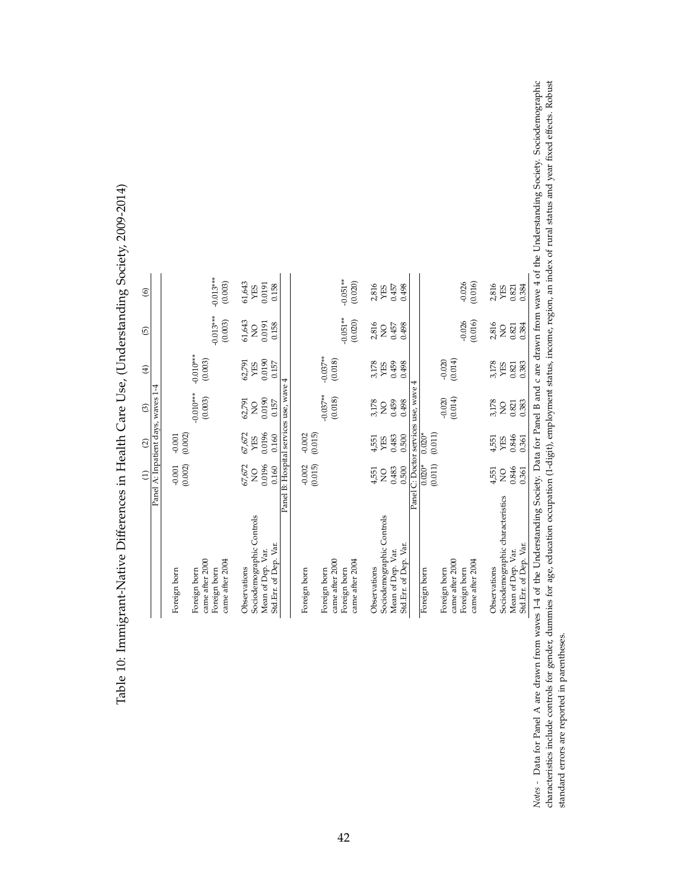| $\widehat{\Theta}$ |                                    | $-0.013***$<br>(0.003)                                                             | 61,643<br>0.0191<br>0.158<br>YES                                                        | $-0.051**$<br>(0.020)                                                              | $-0.026$<br>(0.016)<br>2,816<br>2,816<br>0.457<br>0.498<br>0.384<br>YES<br>0.821<br>YES                                                                                                                                                                                         |                |
|--------------------|------------------------------------|------------------------------------------------------------------------------------|-----------------------------------------------------------------------------------------|------------------------------------------------------------------------------------|---------------------------------------------------------------------------------------------------------------------------------------------------------------------------------------------------------------------------------------------------------------------------------|----------------|
| 0                  |                                    | $-0.013***$<br>(0.003)                                                             | 61,643<br>0.0191<br>0.158<br>$\overline{Q}$                                             | $-0.051**$<br>(0.020)                                                              | (0.016)<br>$-0.026$<br>2,816<br>2,816<br>0.457<br>0.498<br>0.384<br>0.821<br>$\overline{Q}$<br>$\frac{0}{2}$                                                                                                                                                                    |                |
| $\bigoplus$        |                                    | $-0.010***$<br>(0.003)                                                             | 0.0190<br>62,791<br>0.157<br>YES                                                        | $-0.037**$<br>(0.018)                                                              | $-0.020$<br>(0.014)<br>3,178<br>0.459<br>0.498<br>3,178<br>0.383<br>YES<br>0.821<br>YES                                                                                                                                                                                         |                |
| $\odot$            | Panel A: Inpatient days, waves 1-4 | $-0.010***$<br>(0.003)                                                             | Panel B: Hospital services use, wave 4<br>0.0190<br>62,791<br>0.157<br>$\overline{Q}$   | $-0.037**$<br>(0.018)                                                              | Panel C: Doctor services use, wave 4<br>$-0.020$<br>(0.014)<br>3,178<br>0.459<br>3,178<br>0.498<br>0.383<br>$0.821\,$<br>$\overline{Q}$<br>$\frac{0}{2}$                                                                                                                        |                |
| $\widehat{c}$      |                                    | (0.002)<br>$-0.001$                                                                | 67,672<br>0.0196<br>0.160<br>YES                                                        | (0.015)<br>$-0.002$                                                                | $0.020*$<br>(0.011)<br>0.846<br>0.483<br>0.500<br>0.361<br>4,551<br>YES<br>4,551<br>YES                                                                                                                                                                                         |                |
| $\widehat{\Xi}$    |                                    | (0.002)<br>$-0.001$                                                                | 67,672<br>0.0196<br>0.160<br>$\frac{1}{2}$                                              | (0.015)<br>$-0.002$                                                                | (0.011)<br>$0.020*$<br>0.483<br>0.500<br>0.846<br>0.361<br>4,551<br>4,551<br>$\overline{S}$<br>$\overline{Q}$                                                                                                                                                                   |                |
|                    |                                    | came after 2000<br>came after 2004<br>Foreign born<br>Foreign born<br>Foreign born | Sociodemographic Controls<br>Std.Err. of Dep. Var.<br>Mean of Dep. Var.<br>Observations | came after 2000<br>came after 2004<br>Foreign born<br>Foreign born<br>Foreign born | Sociodemographic characteristics<br>Sociodemographic Controls<br>Std.Err. of Dep. Var.<br>Std.Err. of Dep. Var.<br>Mean of Dep. Var.<br>Mean of Dep. Var.<br>came after 2000<br>came after 2004<br>Observations<br>Observations<br>Foreign born<br>Foreign born<br>Foreign born | $\mathfrak{c}$ |

<span id="page-41-0"></span>Table 10: Immigrant-Native Differences in Health Care Use, (Understanding Society, 2009-2014) Table 10: Immigrant-Native Differences in Health Care Use, (Understanding Society, 2009-2014) Notes - Data for Panel A are drawn from waves 1-4 of the Understanding Society. Data for Panel B and c are drawn from wave 4 of the Understanding Society. Sociodemographic<br>characteristics include controls for gender, dummi Notes *a* Data for Panel A are drawn from waves 1-4 of the Understanding Society. Data for Panel B and c are drawn from wave 4 of the Understanding Society. Sociodemographic characteristics include controls for gender, dummies for age, education occupation (1-digit), employment status, income, region, an index of rural status and year fixed effects. Robust standard errors are reported in parentheses. standard errors are reported in parentheses.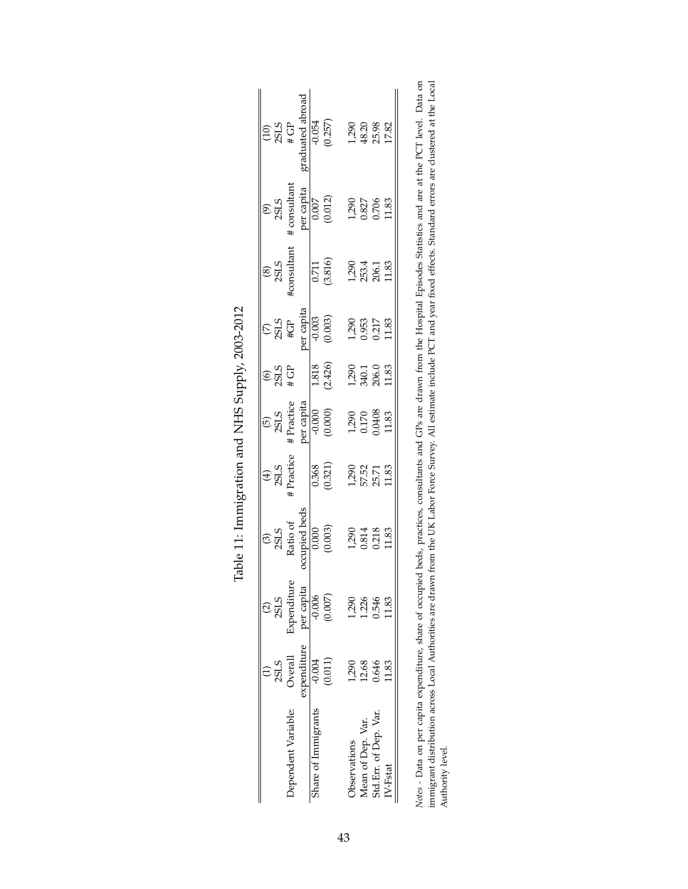<span id="page-42-0"></span>

| (9)<br>2SLS<br>consultant<br>per capita<br>$P^{\text{re}}$ capita<br>$(0.012)$<br>$(0.012)$<br>$0.827$<br>$0.827$<br>$0.796$<br>$0.706$<br>$(8)$<br>2SLS<br>consultant                                                                                                                                                                       |                     |                      |                     | $\frac{0.711}{(3.816)}$ | $1,290$<br>$48.20$<br>$25.98$<br>$17.82$ |                   | 1,290<br>253.4<br>206.1<br>11.83 |         |
|----------------------------------------------------------------------------------------------------------------------------------------------------------------------------------------------------------------------------------------------------------------------------------------------------------------------------------------------|---------------------|----------------------|---------------------|-------------------------|------------------------------------------|-------------------|----------------------------------|---------|
| $(7)$<br>2SLS<br>#GP<br>#GP<br>0.003<br>0.003                                                                                                                                                                                                                                                                                                |                     |                      |                     |                         | 1,290<br>0.953<br>0.217<br>11.83         |                   |                                  |         |
| $\frac{10}{25}$                                                                                                                                                                                                                                                                                                                              |                     |                      |                     | 1.818<br>(2.426)        |                                          |                   | 1,290<br>340.1<br>206.0<br>11.83 |         |
| (5)<br>$2SLS$<br>$\pm$ Practice<br>$\pm$ Practice<br>$\frac{1}{2}$<br>$\frac{1}{2}$<br>$\frac{1}{2}$<br>$\frac{1}{2}$<br>$\frac{1}{2}$<br>$\frac{1}{2}$<br>$\frac{1}{2}$<br>$\frac{1}{2}$<br>$\frac{1}{2}$<br>$\frac{1}{2}$<br>$\frac{1}{2}$<br>$\frac{1}{2}$<br>$\frac{1}{2}$<br>$\frac{1}{2}$<br>$\frac{1}{2}$<br>$\frac{1}{2}$<br>$\frac$ |                     |                      |                     |                         |                                          |                   | 1,290<br>0.170<br>1.83<br>11.83  |         |
| (4)<br>$2SLS$<br>$+$ Practice                                                                                                                                                                                                                                                                                                                |                     |                      |                     | $\frac{0.368}{0.321}$   |                                          |                   | 1,290<br>57.52<br>55.71<br>11.83 |         |
| $\begin{array}{c} \text{(3)}\\ \text{2SLS}\\ \text{Ratio of}\\ \text{Required beds}\\ \text{10,000}\\ \text{(0,003)}\\ \text{(0,003)} \end{array}$                                                                                                                                                                                           |                     |                      |                     |                         |                                          |                   | 1,290<br>0.814<br>0.218<br>11.83 |         |
| $\frac{25}{335}$                                                                                                                                                                                                                                                                                                                             | Expenditu           | per capita<br>-0.006 |                     | $(0.007)$               |                                          |                   | 1290<br>1246<br>1548<br>1183     |         |
|                                                                                                                                                                                                                                                                                                                                              | 2SLS<br>Overall     | xpenditure           | $-0.004$            | (0.011)                 | 1,290                                    | 12.68             | 0.646                            | 1.83    |
|                                                                                                                                                                                                                                                                                                                                              | Dependent Variable: |                      | share of Immigrants |                         | <b>D</b> servations                      | Mean of Dep. Var. | Std.Err. of Dep. Var.            | V-Fstat |

| הההה ההיה<br>ו<br>ו<br>ו<br>Ì                                                                          |
|--------------------------------------------------------------------------------------------------------|
| ا<br>ا                                                                                                 |
| くしょ<br>i<br>I                                                                                          |
| í                                                                                                      |
| くさん てんきんきょく<br>֧֧֧֧ׅ֧ׅ֧ׅ֧ׅ֧ׅ֧ׅ֧ׅ֧ׅ֧ׅ֧ׅ֧ׅ֧ׅ֧֧֪֦֧֪֪֪֪֪֪֪֪֧֚֚֚֚֚֚֚֚֚֚֚֚֚֚֚֚֚֚֚֚֚֝֝֓֜֝֜֜֜֜֜֜֜֜֜֜֜֝֬֝֝<br>i |
|                                                                                                        |
| j<br>$\frac{1}{2}$                                                                                     |

Notes - Data on per capita expenditure, share of occupied beds, practices, consultants and GPs are drawn from the Hospital Episodes Statistics and are at the PCT level. Data on immigrant distribution across Local Authoriti *Notes -* Data on per capita expenditure, share of occupied beds, practices, consultants and GPs are drawn from the Hospital Episodes Statistics and are at the PCT level. Data on immigrant distribution across Local Authorities are drawn from the UK Labor Force Survey. All estimate include PCT and year fixed effects. Standard errors are clustered at the Local Authority level.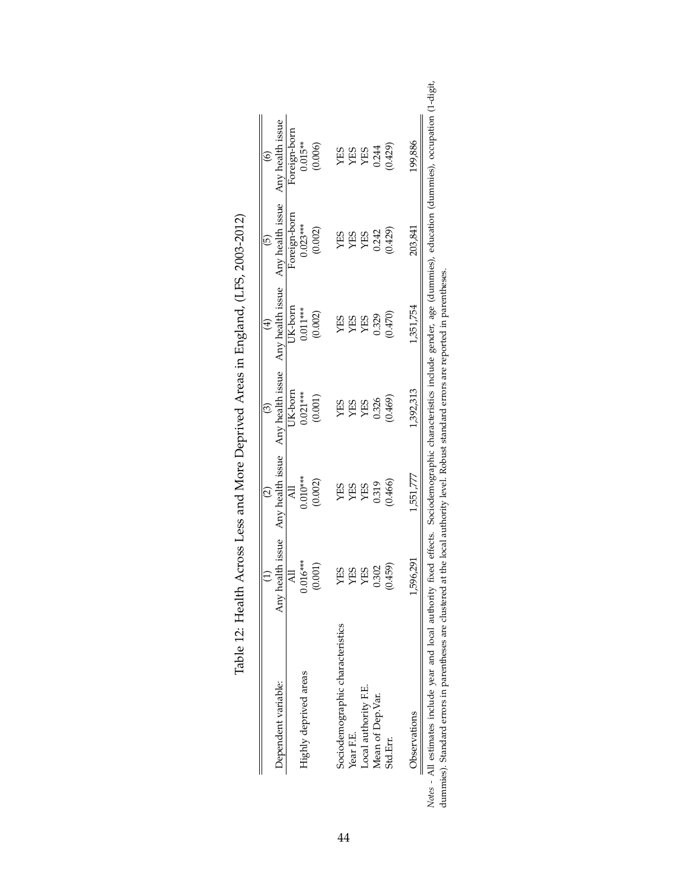<span id="page-43-0"></span>

|                                  |            | $\widehat{\mathfrak{O}}$ |            |            | $\odot$                                                                                               | $\widehat{\circ}$ |
|----------------------------------|------------|--------------------------|------------|------------|-------------------------------------------------------------------------------------------------------|-------------------|
| Dependent variable:              |            |                          |            |            | Any health issue Any health issue Any health issue Any health issue Any health issue Any health issue |                   |
|                                  | ₹          | $\overline{A}$           | JK-born    | JK-born    | Foreign-born                                                                                          | Foreign-born      |
| Highly deprived areas            | $0.016***$ | $0.010**$                | $0.021***$ | $0.011***$ | $0.023***$                                                                                            | $0.015**$         |
|                                  |            | (0.002)                  | (0.001)    | (0.002)    | (0.002)                                                                                               | (0.006)           |
| Sociodemographic characteristics | GES        | <b>CEX</b>               | <b>SEX</b> | <b>CES</b> | <b>SEL</b>                                                                                            | <b>SEX</b>        |
| Year F.E.                        | CES        | <b>SEX</b>               | <b>SHX</b> | СE         | ЯJ                                                                                                    | SEX               |
| Local authority F.E.             | CES        | <b>YES</b>               | YES        | <b>SEX</b> | <b>SEX</b>                                                                                            | YES               |
| Mean of Dep. Var.                | 0.302      | 0.319                    | 0.326      | 0.329      |                                                                                                       |                   |
| Std.Em.                          | (0.459)    | (0.466)                  | (0.469)    | (0.470)    | $(0.242)$<br>$(0.429)$                                                                                | 0.244<br>(0.429)  |
| <b>Observations</b>              | 1,596,291  | 1,551,777                | 1,392,313  | 1,351,754  | 203,841                                                                                               | 199,886           |

| <br> <br> <br>$\frac{1}{2}$ $\frac{1}{2}$ $\frac{1}{2}$ $\frac{1}{2}$ $\frac{1}{2}$ $\frac{1}{2}$ $\frac{1}{2}$ $\frac{1}{2}$ $\frac{1}{2}$ $\frac{1}{2}$ $\frac{1}{2}$ $\frac{1}{2}$ $\frac{1}{2}$ $\frac{1}{2}$ $\frac{1}{2}$ $\frac{1}{2}$ $\frac{1}{2}$ $\frac{1}{2}$ $\frac{1}{2}$ $\frac{1}{2}$ $\frac{1}{2}$ $\frac{1}{2}$<br>Ì |
|----------------------------------------------------------------------------------------------------------------------------------------------------------------------------------------------------------------------------------------------------------------------------------------------------------------------------------------|
| $\frac{1}{2}$                                                                                                                                                                                                                                                                                                                          |
| $-2$<br>)<br>ļ                                                                                                                                                                                                                                                                                                                         |
| Health Across Less and More Deprived Areas in England, $\mu$                                                                                                                                                                                                                                                                           |
|                                                                                                                                                                                                                                                                                                                                        |
| ł                                                                                                                                                                                                                                                                                                                                      |
| I                                                                                                                                                                                                                                                                                                                                      |
|                                                                                                                                                                                                                                                                                                                                        |
|                                                                                                                                                                                                                                                                                                                                        |
|                                                                                                                                                                                                                                                                                                                                        |
|                                                                                                                                                                                                                                                                                                                                        |
|                                                                                                                                                                                                                                                                                                                                        |
| しょこ ここ                                                                                                                                                                                                                                                                                                                                 |

*Notes -* All estimates include year and local authority fixed effects. Sociodemographic characteristics include gender, age (dummies), education (dummies), occupation (1-digit, Notes - All estimates include year and local authority fixed effects. Sociodemographic characteristics include gender, age (dummies). Standard errors in parentheses.<br>dummies). Standard errors in parentheses are clustered a dummies). Standard errors in parentheses are clustered at the local authority level. Robust standard errors are reported in parentheses.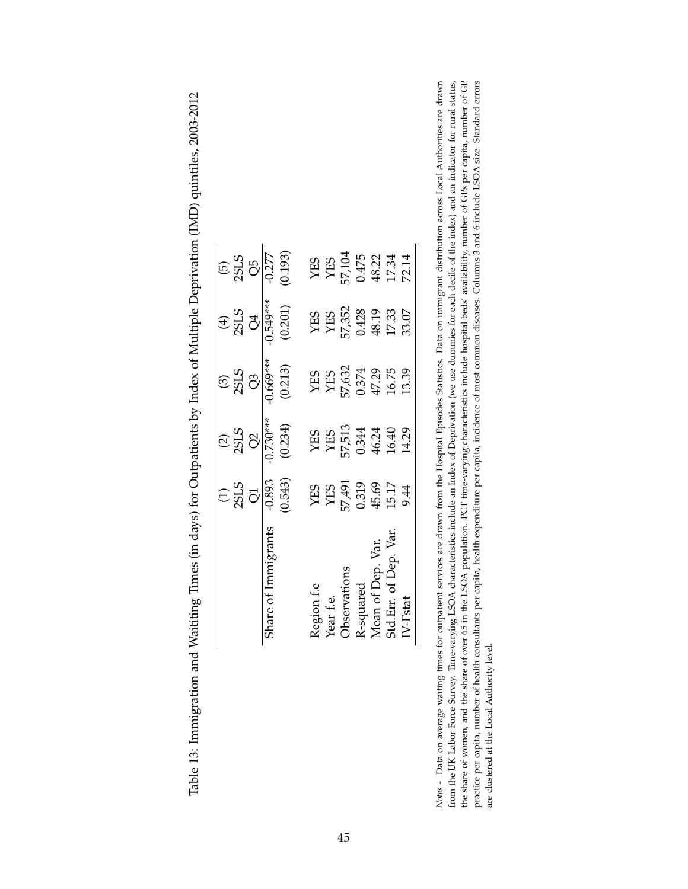|                                | $\frac{1}{2515}$                             |                                                        |                                                          |                                                                                                                       |                    |
|--------------------------------|----------------------------------------------|--------------------------------------------------------|----------------------------------------------------------|-----------------------------------------------------------------------------------------------------------------------|--------------------|
|                                |                                              | (2)<br>2SLS<br>$\frac{Q2}{Q2}$<br>$\frac{Q2}{1730***}$ | $\frac{35}{255}$                                         | $rac{4}{35}$<br>355                                                                                                   | 5)<br>2513<br>2577 |
| hare of Immigrants             | $-0.893$                                     |                                                        | $0.669***$                                               | $0.549***$                                                                                                            |                    |
|                                | 0.543)                                       | (0.234)                                                | (0.213)                                                  | (0.201)                                                                                                               | (0.193)            |
|                                |                                              |                                                        |                                                          |                                                                                                                       |                    |
| Region f.e<br>Year f.e.        |                                              |                                                        |                                                          |                                                                                                                       |                    |
| <b>Jbservations</b>            | YES<br>YES<br>VA91<br>45.69<br>45.17<br>9.44 | YES<br>YES<br>C.344<br>46.40<br>46.40<br>14.29         | YES<br>YES<br>7,6374<br>0.374<br>16.75<br>13.39<br>13.39 | $\begin{array}{l} \rm YES \\ \rm YRS \\ \rm Y.352 \\ \rm 0.428 \\ \rm 48.19 \\ \rm 17.33 \\ \rm 33.07 \\ \end{array}$ |                    |
|                                |                                              |                                                        |                                                          |                                                                                                                       |                    |
| R-squared<br>Mean of Dep. Var. |                                              |                                                        |                                                          |                                                                                                                       |                    |
| 5td.Err. of Dep. Var           |                                              |                                                        |                                                          |                                                                                                                       |                    |
| $IV-Fstat$                     |                                              |                                                        |                                                          |                                                                                                                       |                    |

<span id="page-44-0"></span>Table 13: Immigration and Waititing Times (in days) for Outpatients by Index of Multiple Deprivation (IMD) quintiles, 2003-2012 Table 13: Immigration and Waititing Times (in days) for Outpatients by Index of Multiple Deprivation (IMD) quintiles, 2003-2012 Notes - Data on average waiting times for outpatient services are drawn from the Hospital Episodes Statistics. Data on immigrant distribution across Local Authorities are drawn from the UK Labor Force Survey. Time-varying LSOA characteristics include an Index of Deprivation (we use dummies for each decile of the index) and an indicator for rural status, the share of women, and the share of over 65 in the LSOA population. PCT time-varying characteristics include hospital beds' availability, number of GPs per capita, number of GP practice per capita, number of health consultants per capita, health expenditure per capita, incidence of most common diseases. Columns 3 and 6 include LSOA size. Standard errors *Notes -* Data on average waiting times for outpatient services are drawn from the Hospital Episodes Statistics. Data on immigrant distribution across Local Authorities are drawn from the UK Labor Force Survey. Time-varying LSOA characteristics include an Index of Deprivation (we use dummies for each decile of the index) and an indicator for rural status, the share of women, and the share of over 65 in the LSOA population. PCT time-varying characteristics include hospital beds' availability, number of GPs per capita, number of GPs per capita, number of GPs practice per capita, number of health consultants per capita, health expenditure per capita, incidence of most common diseases. Columns 3 and 6 include LSOA size. Standard errors are clustered at the Local Authority level. are clustered at the Local Authority level.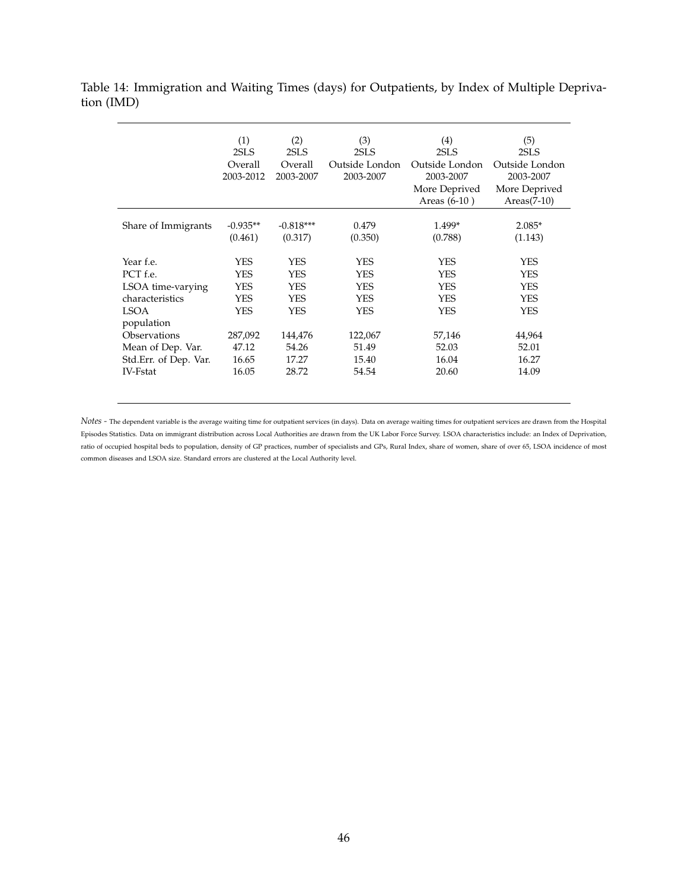<span id="page-45-0"></span>Table 14: Immigration and Waiting Times (days) for Outpatients, by Index of Multiple Deprivation (IMD)

|                                                                                                                                                                      | (1)<br>2SLS<br>Overall<br>2003-2012                                                        | (2)<br>2SLS<br>Overall<br>2003-2007                                                                      | (3)<br>2SLS<br>Outside London<br>2003-2007                                                  | $\left( 4\right)$<br>2SLS<br>Outside London<br>2003-2007<br>More Deprived<br>Areas $(6-10)$ | (5)<br>2SLS<br>Outside London<br>2003-2007<br>More Deprived<br>$Areas(7-10)$                     |
|----------------------------------------------------------------------------------------------------------------------------------------------------------------------|--------------------------------------------------------------------------------------------|----------------------------------------------------------------------------------------------------------|---------------------------------------------------------------------------------------------|---------------------------------------------------------------------------------------------|--------------------------------------------------------------------------------------------------|
| Share of Immigrants                                                                                                                                                  | $-0.935**$<br>(0.461)                                                                      | $-0.818***$<br>(0.317)                                                                                   | 0.479<br>(0.350)                                                                            | 1.499*<br>(0.788)                                                                           | $2.085*$<br>(1.143)                                                                              |
| Year f.e.<br>PCT f.e.<br>LSOA time-varying<br>characteristics<br><b>LSOA</b><br>population<br>Observations<br>Mean of Dep. Var.<br>Std.Err. of Dep. Var.<br>IV-Fstat | YES<br><b>YES</b><br><b>YES</b><br><b>YES</b><br>YES<br>287,092<br>47.12<br>16.65<br>16.05 | <b>YES</b><br><b>YES</b><br><b>YES</b><br><b>YES</b><br><b>YES</b><br>144,476<br>54.26<br>17.27<br>28.72 | YES<br><b>YES</b><br><b>YES</b><br><b>YES</b><br>YES.<br>122,067<br>51.49<br>15.40<br>54.54 | YES<br>YES<br><b>YES</b><br><b>YES</b><br>YES<br>57,146<br>52.03<br>16.04<br>20.60          | YES<br><b>YES</b><br><b>YES</b><br><b>YES</b><br><b>YES</b><br>44,964<br>52.01<br>16.27<br>14.09 |

*Notes -* The dependent variable is the average waiting time for outpatient services (in days). Data on average waiting times for outpatient services are drawn from the Hospital Episodes Statistics. Data on immigrant distribution across Local Authorities are drawn from the UK Labor Force Survey. LSOA characteristics include: an Index of Deprivation, ratio of occupied hospital beds to population, density of GP practices, number of specialists and GPs, Rural Index, share of women, share of over 65, LSOA incidence of most common diseases and LSOA size. Standard errors are clustered at the Local Authority level.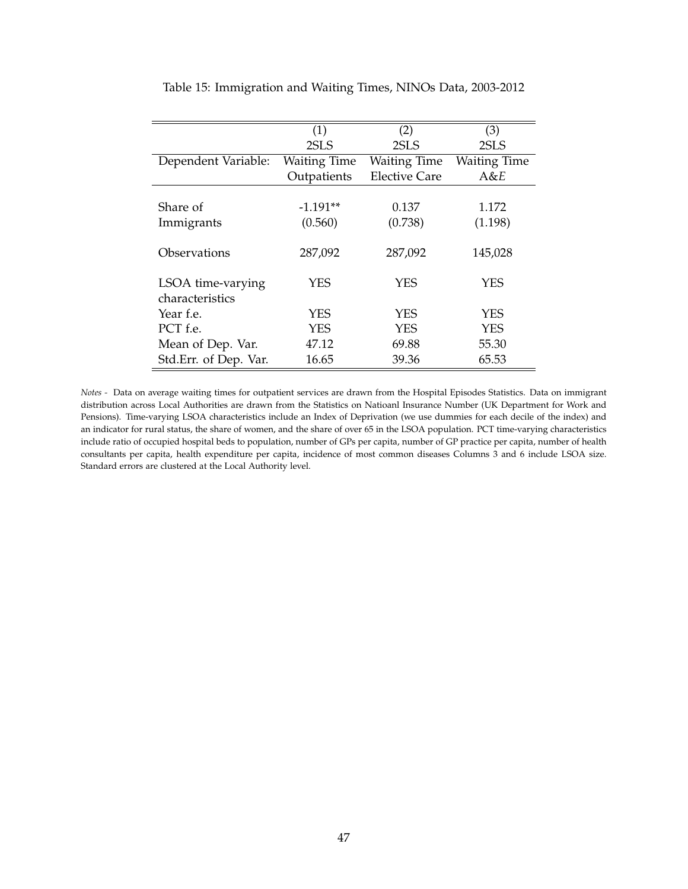|                       | (1)                 | (2)                  | (3)                 |
|-----------------------|---------------------|----------------------|---------------------|
|                       | 2SLS                | 2SLS                 | 2SLS                |
| Dependent Variable:   | <b>Waiting Time</b> | <b>Waiting Time</b>  | <b>Waiting Time</b> |
|                       | Outpatients         | <b>Elective Care</b> | A&E                 |
|                       |                     |                      |                     |
| Share of              | $-1.191**$          | 0.137                | 1.172               |
| Immigrants            | (0.560)             | (0.738)              | (1.198)             |
|                       |                     |                      |                     |
| Observations          | 287,092             | 287,092              | 145,028             |
|                       |                     |                      |                     |
| LSOA time-varying     | YES                 | <b>YES</b>           | YES                 |
| characteristics       |                     |                      |                     |
| Year f.e.             | <b>YES</b>          | <b>YES</b>           | <b>YES</b>          |
| PCT f.e.              | <b>YES</b>          | <b>YES</b>           | <b>YES</b>          |
| Mean of Dep. Var.     | 47.12               | 69.88                | 55.30               |
| Std.Err. of Dep. Var. | 16.65               | 39.36                | 65.53               |

<span id="page-46-0"></span>Table 15: Immigration and Waiting Times, NINOs Data, 2003-2012

*Notes -* Data on average waiting times for outpatient services are drawn from the Hospital Episodes Statistics. Data on immigrant distribution across Local Authorities are drawn from the Statistics on Natioanl Insurance Number (UK Department for Work and Pensions). Time-varying LSOA characteristics include an Index of Deprivation (we use dummies for each decile of the index) and an indicator for rural status, the share of women, and the share of over 65 in the LSOA population. PCT time-varying characteristics include ratio of occupied hospital beds to population, number of GPs per capita, number of GP practice per capita, number of health consultants per capita, health expenditure per capita, incidence of most common diseases Columns 3 and 6 include LSOA size. Standard errors are clustered at the Local Authority level.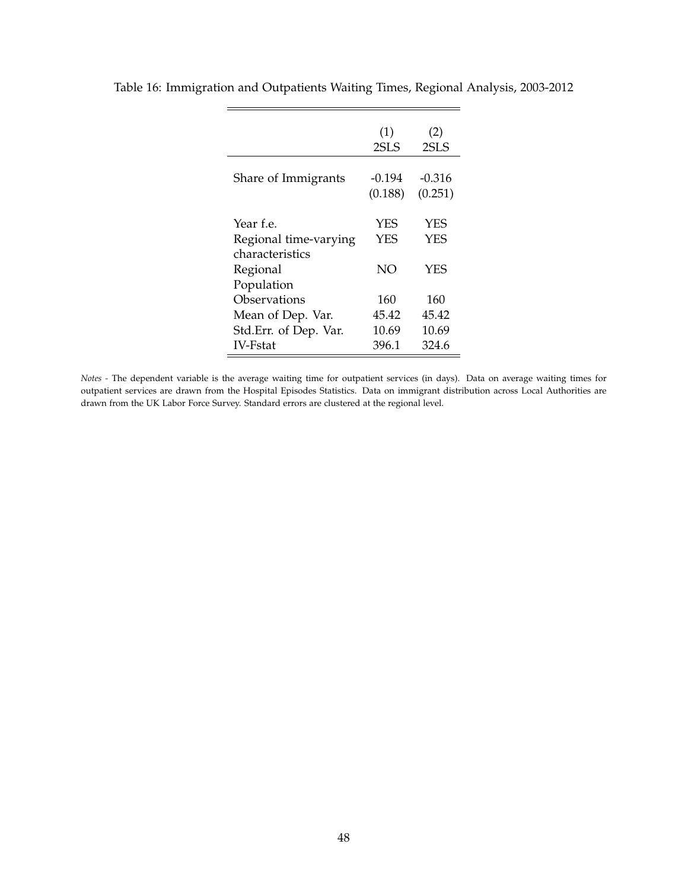|                                                       | (1)<br>2SLS       | (2)<br>2SLS         |
|-------------------------------------------------------|-------------------|---------------------|
| Share of Immigrants                                   | -0.194<br>(0.188) | $-0.316$<br>(0.251) |
| Year f.e.<br>Regional time-varying<br>characteristics | <b>YES</b><br>YFS | YES<br>YES          |
| Regional<br>Population                                | NO                | <b>YES</b>          |
| Observations                                          | 160               | 160                 |
| Mean of Dep. Var.                                     | 45.42             | 45.42               |
| Std.Err. of Dep. Var.                                 | 10.69             | 10.69               |
| <b>IV-Fstat</b>                                       | 396.1             | 324.6               |

<span id="page-47-0"></span>Table 16: Immigration and Outpatients Waiting Times, Regional Analysis, 2003-2012

*Notes -* The dependent variable is the average waiting time for outpatient services (in days). Data on average waiting times for outpatient services are drawn from the Hospital Episodes Statistics. Data on immigrant distribution across Local Authorities are drawn from the UK Labor Force Survey. Standard errors are clustered at the regional level.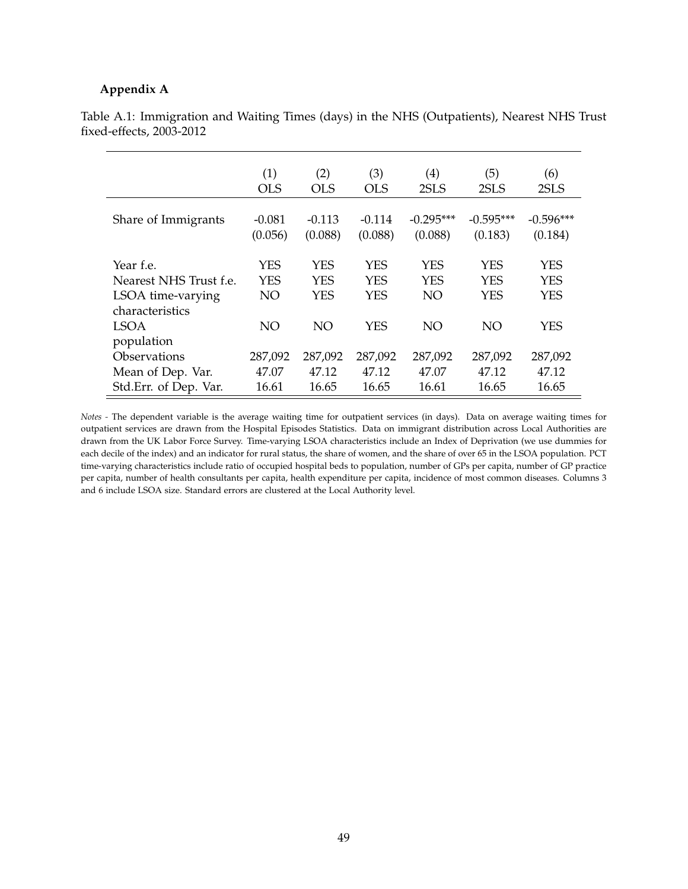#### **Appendix A**

|                                      | (1)                 | (2)                 | (3)                      | $\left( 4\right)$      | (5)                      | (6)                      |
|--------------------------------------|---------------------|---------------------|--------------------------|------------------------|--------------------------|--------------------------|
|                                      | <b>OLS</b>          | <b>OLS</b>          | <b>OLS</b>               | 2SLS                   | 2SLS                     | 2SLS                     |
| Share of Immigrants                  | $-0.081$<br>(0.056) | $-0.113$<br>(0.088) | $-0.114$<br>(0.088)      | $-0.295***$<br>(0.088) | $-0.595***$<br>(0.183)   | $-0.596***$<br>(0.184)   |
| Year f.e.                            | YES                 | <b>YES</b>          | YES                      | <b>YES</b>             | <b>YES</b>               | YES                      |
| Nearest NHS Trust f.e.               | <b>YES</b>          | <b>YES</b><br>YES   | <b>YES</b><br><b>YES</b> | <b>YES</b><br>NO       | <b>YES</b><br><b>YES</b> | <b>YES</b><br><b>YES</b> |
| LSOA time-varying<br>characteristics | NO                  |                     |                          |                        |                          |                          |
| <b>LSOA</b><br>population            | NO                  | NO                  | <b>YES</b>               | NO                     | NO                       | <b>YES</b>               |
| <b>Observations</b>                  | 287,092             | 287,092             | 287,092                  | 287,092                | 287,092                  | 287,092                  |
| Mean of Dep. Var.                    | 47.07               | 47.12               | 47.12                    | 47.07                  | 47.12                    | 47.12                    |
| Std.Err. of Dep. Var.                | 16.61               | 16.65               | 16.65                    | 16.61                  | 16.65                    | 16.65                    |

<span id="page-48-0"></span>Table A.1: Immigration and Waiting Times (days) in the NHS (Outpatients), Nearest NHS Trust fixed-effects, 2003-2012

*Notes -* The dependent variable is the average waiting time for outpatient services (in days). Data on average waiting times for outpatient services are drawn from the Hospital Episodes Statistics. Data on immigrant distribution across Local Authorities are drawn from the UK Labor Force Survey. Time-varying LSOA characteristics include an Index of Deprivation (we use dummies for each decile of the index) and an indicator for rural status, the share of women, and the share of over 65 in the LSOA population. PCT time-varying characteristics include ratio of occupied hospital beds to population, number of GPs per capita, number of GP practice per capita, number of health consultants per capita, health expenditure per capita, incidence of most common diseases. Columns 3 and 6 include LSOA size. Standard errors are clustered at the Local Authority level.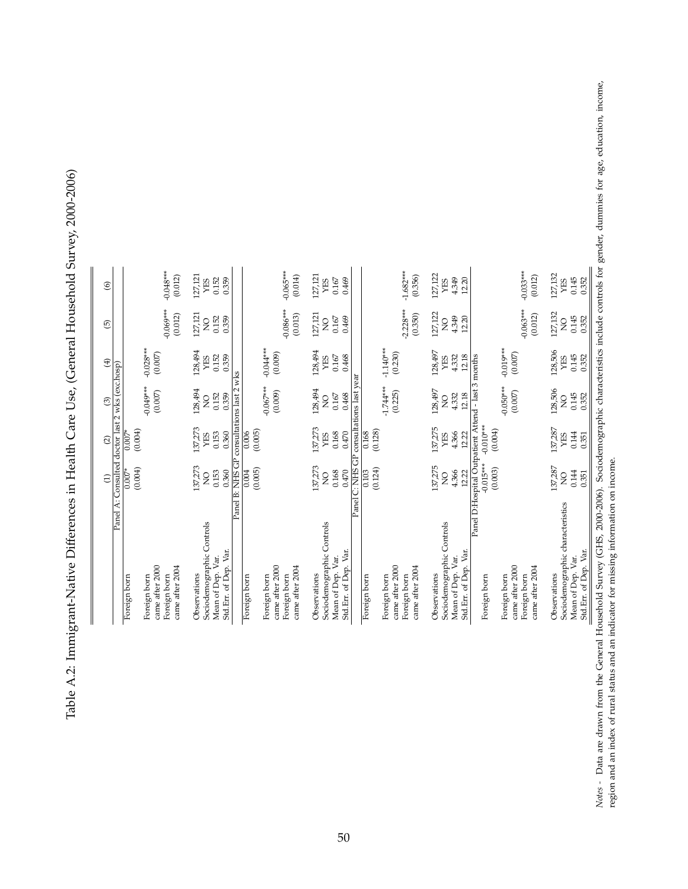<span id="page-49-0"></span>Table A.2: Immigrant-Native Differences in Health Care Use, (General Household Survey, 2000-2006) Table A.2: Immigrant-Native Differences in Health Care Use, (General Household Survey, 2000-2006)

| Panel A: Consulted doctor last 2 wks (exc.hosp)                                                  |
|--------------------------------------------------------------------------------------------------|
| (0.004)<br>$0.007*$                                                                              |
| Panel B: NHS GP<br>137,273<br>0.153<br>0.360<br>$\overline{Q}$                                   |
| consultations last 2 wks<br>(0.005)<br>0.004                                                     |
|                                                                                                  |
| 137,273<br>137,273<br>$\overline{z}$                                                             |
| 0.168<br>0.470                                                                                   |
| Panel C: NHS GP consultations last year                                                          |
| (0.124)<br>$\overline{0.103}$                                                                    |
|                                                                                                  |
| 137,275<br>$\overline{Q}$                                                                        |
| 4.366<br>12.22                                                                                   |
| Panel D:Hospital Outpatient Attend - last 3 months<br>$-0.010***$<br>$-0.015***$<br>(0.003)      |
|                                                                                                  |
| 137,287<br>0.144<br>0.351<br>$\overline{Q}$                                                      |
| Sociodemographic characteristics include controls for gene<br>Tousehold Survey (GHS, 2000-2006). |

gender, dummies for age, education, income, *Notes -* Data are drawn from the General Household Survey (GHS, 2000-2006). Sociodemographic characteristics include controls for gender, dummies for age, education, income, Liprac Notes - Data are drawn from the General Household Survey (GHS, 2000-2006). Sociode region and an index of rural status and an indicator for missing information on income. region and an index of rural status and an indicator for missing information on income.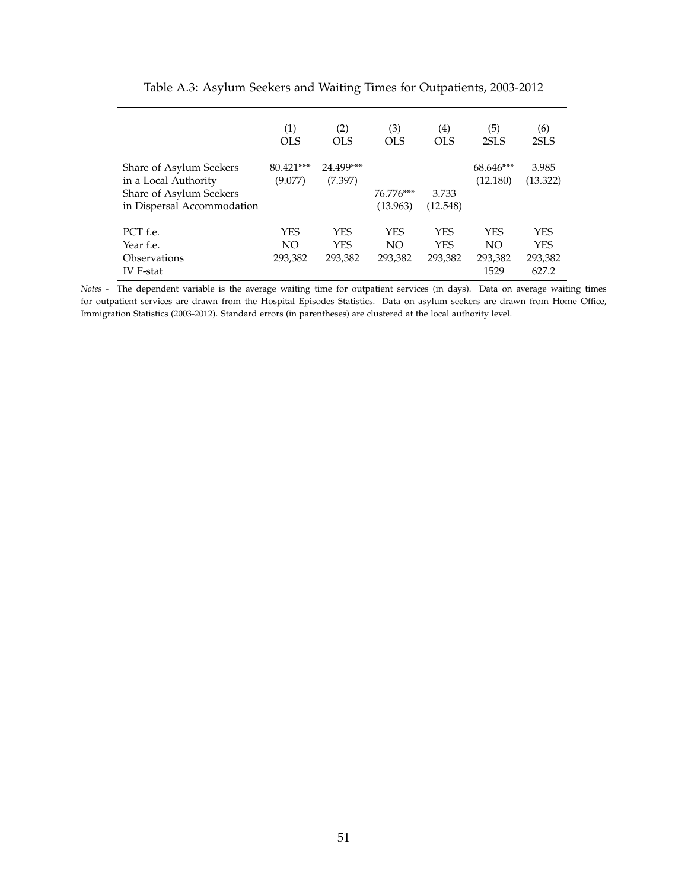<span id="page-50-0"></span>

|                                                                                                          | (1)<br>OL S                  | (2)<br>OLS                          | (3)<br>OLS                   | (4)<br>OLS                          | (5)<br>2SLS                          | (6)<br>2SLS                                  |
|----------------------------------------------------------------------------------------------------------|------------------------------|-------------------------------------|------------------------------|-------------------------------------|--------------------------------------|----------------------------------------------|
| Share of Asylum Seekers<br>in a Local Authority<br>Share of Asylum Seekers<br>in Dispersal Accommodation | 80.421***<br>(9.077)         | 24.499***<br>(7.397)                | 76.776***<br>(13.963)        | 3.733<br>(12.548)                   | 68.646***<br>(12.180)                | 3.985<br>(13.322)                            |
| PCT f.e.<br>Year f.e.<br>Observations<br>IV F-stat                                                       | <b>YES</b><br>NO.<br>293,382 | <b>YES</b><br><b>YES</b><br>293,382 | <b>YES</b><br>NO.<br>293,382 | <b>YES</b><br><b>YES</b><br>293,382 | <b>YES</b><br>NO.<br>293,382<br>1529 | <b>YES</b><br><b>YES</b><br>293,382<br>627.2 |

Table A.3: Asylum Seekers and Waiting Times for Outpatients, 2003-2012

*Notes -* The dependent variable is the average waiting time for outpatient services (in days). Data on average waiting times for outpatient services are drawn from the Hospital Episodes Statistics. Data on asylum seekers are drawn from Home Office, Immigration Statistics (2003-2012). Standard errors (in parentheses) are clustered at the local authority level.